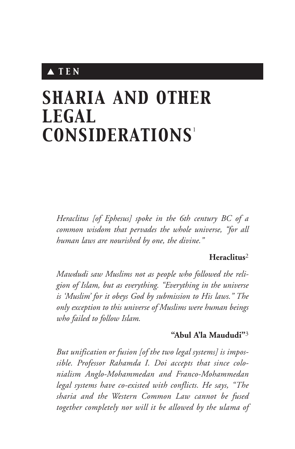# ▲ *T E N*

# *SHARIA AND OTHER LEGAL CONSIDERATIONS* 1

*Heraclitus [of Ephesus] spoke in the 6th century BC of a common wisdom that pervades the whole universe, "for all human laws are nourished by one, the divine."*

#### **Heraclitus**<sup>2</sup>

*Mawdudi saw Muslims not as people who followed the religion of Islam, but as everything. "Everything in the universe is 'Muslim' for it obeys God by submission to His laws." The only exception to this universe of Muslims were human beings who failed to follow Islam.*

## **"Abul A'la Maududi"**<sup>3</sup>

*But unification or fusion [of the two legal systems] is impossible. Professor Rahamda I. Doi accepts that since colonialism Anglo-Mohammedan and Franco-Mohammedan legal systems have co-existed with conflicts. He says, "The sharia and the Western Common Law cannot be fused together completely nor will it be allowed by the ulama of*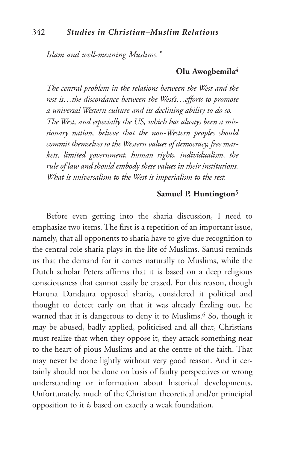*Islam and well-meaning Muslims."*

## **Olu Awogbemila**<sup>4</sup>

*The central problem in the relations between the West and the rest is…the discordance between the West's…efforts to promote a universal Western culture and its declining ability to do so. The West, and especially the US, which has always been a missionary nation, believe that the non-Western peoples should commit themselves to theWestern values of democracy, free markets, limited government, human rights, individualism, the rule of law and should embody these values in their institutions. What is universalism to the West is imperialism to the rest.*

#### **Samuel P. Huntington**5

Before even getting into the sharia discussion, I need to emphasize two items. The first is a repetition of an important issue, namely, that all opponents to sharia have to give due recognition to the central role sharia plays in the life of Muslims. Sanusi reminds us that the demand for it comes naturally to Muslims, while the Dutch scholar Peters affirms that it is based on a deep religious consciousness that cannot easily be erased. For this reason, though Haruna Dandaura opposed sharia, considered it political and thought to detect early on that it was already fizzling out, he warned that it is dangerous to deny it to Muslims.<sup>6</sup> So, though it may be abused, badly applied, politicised and all that, Christians must realize that when they oppose it, they attack something near to the heart of pious Muslims and at the centre of the faith. That may never be done lightly without very good reason. And it certainly should not be done on basis of faulty perspectives or wrong understanding or information about historical developments. Unfortunately, much of the Christian theoretical and/or principial opposition to it *is* based on exactly a weak foundation.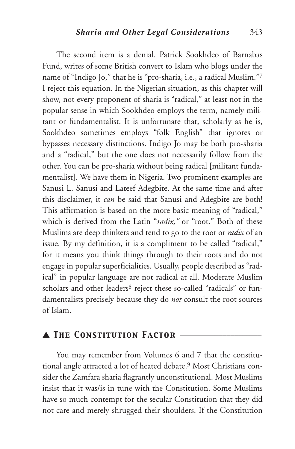The second item is a denial. Patrick Sookhdeo of Barnabas Fund, writes of some British convert to Islam who blogs under the name of "Indigo Jo," that he is "pro-sharia, i.e., a radical Muslim."7 I reject this equation. In the Nigerian situation, as this chapter will show, not every proponent of sharia is "radical," at least not in the popular sense in which Sookhdeo employs the term, namely militant or fundamentalist. It is unfortunate that, scholarly as he is, Sookhdeo sometimes employs "folk English" that ignores or bypasses necessary distinctions. Indigo Jo may be both pro-sharia and a "radical," but the one does not necessarily follow from the other. You can be pro-sharia without being radical [militant fundamentalist]. We have them in Nigeria. Two prominent examples are Sanusi L. Sanusi and Lateef Adegbite. At the same time and after this disclaimer, it *can* be said that Sanusi and Adegbite are both! This affirmation is based on the more basic meaning of "radical," which is derived from the Latin "*radix*," or "root." Both of these Muslims are deep thinkers and tend to go to the root or *radix* of an issue. By my definition, it is a compliment to be called "radical," for it means you think things through to their roots and do not engage in popular superficialities. Usually, people described as "radical" in popular language are not radical at all. Moderate Muslim scholars and other leaders<sup>8</sup> reject these so-called "radicals" or fundamentalists precisely because they do *not* consult the root sources of Islam.

#### ▲ *The Constitution Factor* \_\_\_\_\_\_\_\_\_\_\_\_\_\_\_\_\_\_\_\_\_

You may remember from Volumes 6 and 7 that the constitutional angle attracted a lot of heated debate.9 Most Christians consider the Zamfara sharia flagrantly unconstitutional. Most Muslims insist that it was/is in tune with the Constitution. Some Muslims have so much contempt for the secular Constitution that they did not care and merely shrugged their shoulders. If the Constitution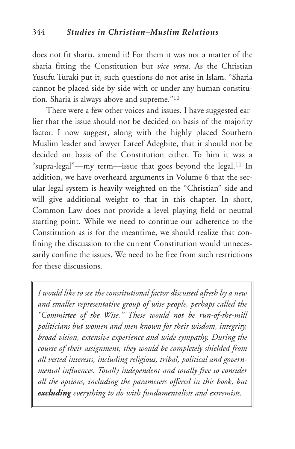does not fit sharia, amend it! For them it was not a matter of the sharia fitting the Constitution but *vice versa*. As the Christian Yusufu Turaki put it, such questions do not arise in Islam. "Sharia cannot be placed side by side with or under any human constitution. Sharia is always above and supreme."10

There were a few other voices and issues. I have suggested earlier that the issue should not be decided on basis of the majority factor. I now suggest, along with the highly placed Southern Muslim leader and lawyer Lateef Adegbite, that it should not be decided on basis of the Constitution either. To him it was a "supra-legal"—my term—issue that goes beyond the legal.11 In addition, we have overheard arguments in Volume 6 that the secular legal system is heavily weighted on the "Christian" side and will give additional weight to that in this chapter. In short, Common Law does not provide a level playing field or neutral starting point. While we need to continue our adherence to the Constitution as is for the meantime, we should realize that confining the discussion to the current Constitution would unnecessarily confine the issues. We need to be free from such restrictions for these discussions.

*I would like to see the constitutional factor discussed afresh by a new and smaller representative group of wise people, perhaps called the "Committee of the Wise." These would not be run-of-the-mill politicians but women and men known for their wisdom, integrity, broad vision, extensive experience and wide sympathy. During the course of their assignment, they would be completely shielded from all vested interests, including religious, tribal, political and governmental influences. Totally independent and totally free to consider all the options, including the parameters offered in this book, but excluding everything to do with fundamentalists and extremists.*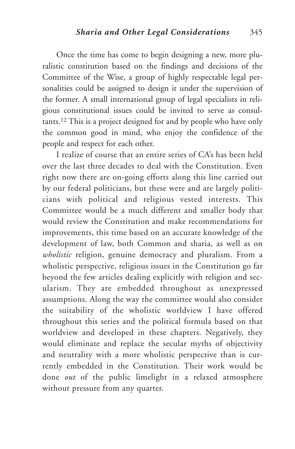Once the time has come to begin designing a new, more pluralistic constitution based on the findings and decisions of the Committee of the Wise, a group of highly respectable legal personalities could be assigned to design it under the supervision of the former. A small international group of legal specialists in religious constitutional issues could be invited to serve as consultants.12 This is a project designed for and by people who have only the common good in mind, who enjoy the confidence of the people and respect for each other.

I realize of course that an entire series of CA's has been held over the last three decades to deal with the Constitution. Even right now there are on-going efforts along this line carried out by our federal politicians, but these were and are largely politicians with political and religious vested interests. This Committee would be a much different and smaller body that would review the Constitution and make recommendations for improvements, this time based on an accurate knowledge of the development of law, both Common and sharia, as well as on *wholistic* religion, genuine democracy and pluralism. From a wholistic perspective, religious issues in the Constitution go far beyond the few articles dealing explicitly with religion and secularism. They are embedded throughout as unexpressed assumptions. Along the way the committee would also consider the suitability of the wholistic worldview I have offered throughout this series and the political formula based on that worldview and developed in these chapters. Negatively, they would eliminate and replace the secular myths of objectivity and neutrality with a more wholistic perspective than is currently embedded in the Constitution. Their work would be done *out* of the public limelight in a relaxed atmosphere without pressure from any quarter.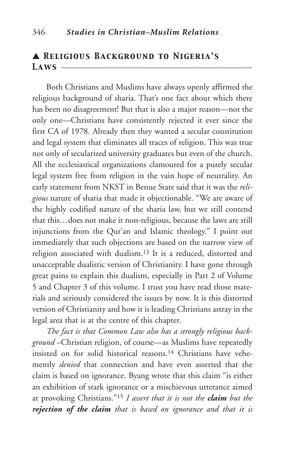## ▲ *Religious Background to Nigeria's Laws* \_\_\_\_\_\_\_\_\_\_\_\_\_\_\_\_\_\_\_\_\_\_\_\_\_\_\_\_\_\_\_\_\_\_\_\_\_\_\_\_\_\_\_\_\_\_\_\_\_

Both Christians and Muslims have always openly affirmed the religious background of sharia. That's one fact about which there has been no disagreement! But that is also a major reason—not the only one—Christians have consistently rejected it ever since the first CA of 1978. Already then they wanted a secular constitution and legal system that eliminates all traces of religion. This was true not only of secularized university graduates but even of the church. All the ecclesiastical organizations clamoured for a purely secular legal system free from religion in the vain hope of neutrality. An early statement from NKST in Benue State said that it was the *religious* nature of sharia that made it objectionable. "We are aware of the highly codified nature of the sharia law, but we still contend that this…does not make it non-religious, because the laws are still injunctions from the Qur'an and Islamic theology." I point out immediately that such objections are based on the narrow view of religion associated with dualism.13 It is a reduced, distorted and unacceptable dualistic version of Christianity. I have gone through great pains to explain this dualism, especially in Part 2 of Volume 5 and Chapter 3 of this volume. I trust you have read those materials and seriously considered the issues by now. It is this distorted version of Christianity and how it is leading Christians astray in the legal area that is at the centre of this chapter.

*The fact is that Common Law also has a strongly religious background* –Christian religion, of course—as Muslims have repeatedly insisted on for solid historical reasons.14 Christians have vehemently *denied* that connection and have even asserted that the claim is based on ignorance. Byang wrote that this claim "is either an exhibition of stark ignorance or a mischievous utterance aimed at provoking Christians."15 *I assert that it is not the claim but the rejection of the claim that is based on ignorance and that it is*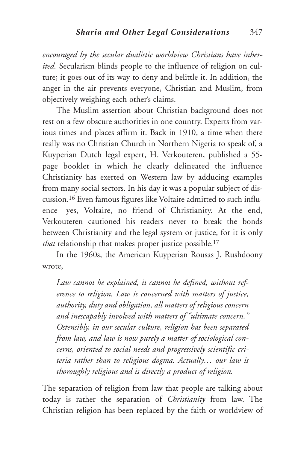*encouraged by the secular dualistic worldview Christians have inherited.* Secularism blinds people to the influence of religion on culture; it goes out of its way to deny and belittle it. In addition, the anger in the air prevents everyone, Christian and Muslim, from objectively weighing each other's claims.

The Muslim assertion about Christian background does not rest on a few obscure authorities in one country. Experts from various times and places affirm it. Back in 1910, a time when there really was no Christian Church in Northern Nigeria to speak of, a Kuyperian Dutch legal expert, H. Verkouteren, published a 55 page booklet in which he clearly delineated the influence Christianity has exerted on Western law by adducing examples from many social sectors. In his day it was a popular subject of discussion.16 Even famous figures like Voltaire admitted to such influence—yes, Voltaire, no friend of Christianity. At the end, Verkouteren cautioned his readers never to break the bonds between Christianity and the legal system or justice, for it is only *that* relationship that makes proper justice possible.17

In the 1960s, the American Kuyperian Rousas J. Rushdoony wrote,

*Law cannot be explained, it cannot be defined, without reference to religion. Law is concerned with matters of justice, authority, duty and obligation, all matters of religious concern and inescapably involved with matters of "ultimate concern." Ostensibly, in our secular culture, religion has been separated from law, and law is now purely a matter of sociological concerns, oriented to social needs and progressively scientific criteria rather than to religious dogma. Actually… our law is thoroughly religious and is directly a product of religion.*

The separation of religion from law that people are talking about today is rather the separation of *Christianity* from law. The Christian religion has been replaced by the faith or worldview of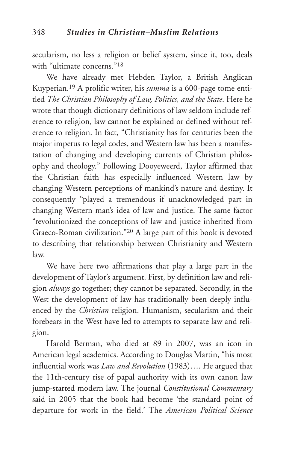secularism, no less a religion or belief system, since it, too, deals with "ultimate concerns."<sup>18</sup>

We have already met Hebden Taylor, a British Anglican Kuyperian.19 A prolific writer, his *summa* is a 600-page tome entitled *The Christian Philosophy of Law, Politics, and the State*. Here he wrote that though dictionary definitions of law seldom include reference to religion, law cannot be explained or defined without reference to religion. In fact, "Christianity has for centuries been the major impetus to legal codes, and Western law has been a manifestation of changing and developing currents of Christian philosophy and theology." Following Dooyeweerd, Taylor affirmed that the Christian faith has especially influenced Western law by changing Western perceptions of mankind's nature and destiny. It consequently "played a tremendous if unacknowledged part in changing Western man's idea of law and justice. The same factor "revolutionized the conceptions of law and justice inherited from Graeco-Roman civilization."20 A large part of this book is devoted to describing that relationship between Christianity and Western law.

We have here two affirmations that play a large part in the development of Taylor's argument. First, by definition law and religion *always* go together; they cannot be separated. Secondly, in the West the development of law has traditionally been deeply influenced by the *Christian* religion. Humanism, secularism and their forebears in the West have led to attempts to separate law and religion.

Harold Berman, who died at 89 in 2007, was an icon in American legal academics. According to Douglas Martin, "his most influential work was *Law and Revolution* (1983)…. He argued that the 11th-century rise of papal authority with its own canon law jump-started modern law. The journal *Constitutional Commentary* said in 2005 that the book had become 'the standard point of departure for work in the field.' The *American Political Science*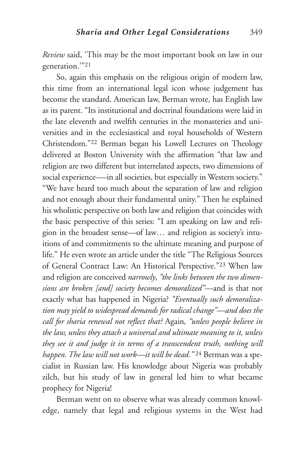*Review* said, 'This may be the most important book on law in our generation.'"21

So, again this emphasis on the religious origin of modern law, this time from an international legal icon whose judgement has become the standard. American law, Berman wrote, has English law as its parent. "Its institutional and doctrinal foundations were laid in the late eleventh and twelfth centuries in the monasteries and universities and in the ecclesiastical and royal households of Western Christendom."22 Berman began his Lowell Lectures on Theology delivered at Boston University with the affirmation "that law and religion are two different but interrelated aspects, two dimensions of social experience—in all societies, but especially in Western society." "We have heard too much about the separation of law and religion and not enough about their fundamental unity." Then he explained his wholistic perspective on both law and religion that coincides with the basic perspective of this series: "I am speaking on law and religion in the broadest sense—of law… and religion as society's intuitions of and commitments to the ultimate meaning and purpose of life." He even wrote an article under the title "The Religious Sources of General Contract Law: An Historical Perspective."23 When law and religion are conceived *narrowly*, *"the links between the two dimensions are broken [and] society becomes demoralized"—*and is that not exactly what has happened in Nigeria? *"Eventually such demoralization may yield to widespread demands for radical change"—and does the call for sharia renewal not reflect that?* Again*, "unless people believe in the law, unless they attach a universal and ultimate meaning to it, unless they see it and judge it in terms of a transcendent truth, nothing will happen.The law will not work—it will be dead."* <sup>24</sup> Berman was a specialist in Russian law. His knowledge about Nigeria was probably zilch, but his study of law in general led him to what became prophecy for Nigeria!

Berman went on to observe what was already common knowledge, namely that legal and religious systems in the West had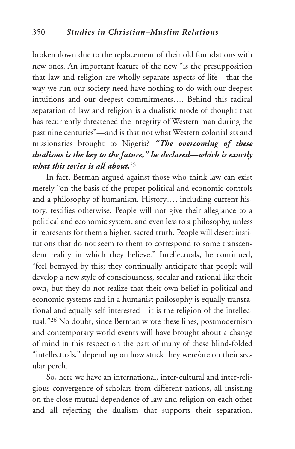broken down due to the replacement of their old foundations with new ones. An important feature of the new "is the presupposition that law and religion are wholly separate aspects of life—that the way we run our society need have nothing to do with our deepest intuitions and our deepest commitments…. Behind this radical separation of law and religion is a dualistic mode of thought that has recurrently threatened the integrity of Western man during the past nine centuries"—and is that not what Western colonialists and missionaries brought to Nigeria? *"The overcoming of these dualisms is the key to the future," he declared—which is exactly what this series is all about.*25

In fact, Berman argued against those who think law can exist merely "on the basis of the proper political and economic controls and a philosophy of humanism. History…, including current history, testifies otherwise: People will not give their allegiance to a political and economic system, and even less to a philosophy, unless it represents for them a higher, sacred truth. People will desert institutions that do not seem to them to correspond to some transcendent reality in which they believe." Intellectuals, he continued, "feel betrayed by this; they continually anticipate that people will develop a new style of consciousness, secular and rational like their own, but they do not realize that their own belief in political and economic systems and in a humanist philosophy is equally transrational and equally self-interested—it is the religion of the intellectual."26 No doubt, since Berman wrote these lines, postmodernism and contemporary world events will have brought about a change of mind in this respect on the part of many of these blind-folded "intellectuals," depending on how stuck they were/are on their secular perch.

So, here we have an international, inter-cultural and inter-religious convergence of scholars from different nations, all insisting on the close mutual dependence of law and religion on each other and all rejecting the dualism that supports their separation.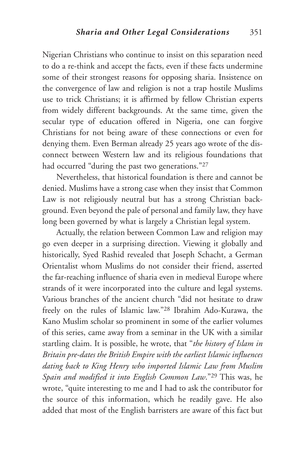Nigerian Christians who continue to insist on this separation need to do a re-think and accept the facts, even if these facts undermine some of their strongest reasons for opposing sharia. Insistence on the convergence of law and religion is not a trap hostile Muslims use to trick Christians; it is affirmed by fellow Christian experts from widely different backgrounds. At the same time, given the secular type of education offered in Nigeria, one can forgive Christians for not being aware of these connections or even for denying them. Even Berman already 25 years ago wrote of the disconnect between Western law and its religious foundations that had occurred "during the past two generations."27

Nevertheless, that historical foundation is there and cannot be denied. Muslims have a strong case when they insist that Common Law is not religiously neutral but has a strong Christian background. Even beyond the pale of personal and family law, they have long been governed by what is largely a Christian legal system.

Actually, the relation between Common Law and religion may go even deeper in a surprising direction. Viewing it globally and historically, Syed Rashid revealed that Joseph Schacht, a German Orientalist whom Muslims do not consider their friend, asserted the far-reaching influence of sharia even in medieval Europe where strands of it were incorporated into the culture and legal systems. Various branches of the ancient church "did not hesitate to draw freely on the rules of Islamic law."28 Ibrahim Ado-Kurawa, the Kano Muslim scholar so prominent in some of the earlier volumes of this series, came away from a seminar in the UK with a similar startling claim. It is possible, he wrote, that "*the history of Islam in Britain pre-dates the British Empire with the earliest Islamic influences dating back to King Henry who imported Islamic Law from Muslim Spain and modified it into English Common Law*."29 This was, he wrote, "quite interesting to me and I had to ask the contributor for the source of this information, which he readily gave. He also added that most of the English barristers are aware of this fact but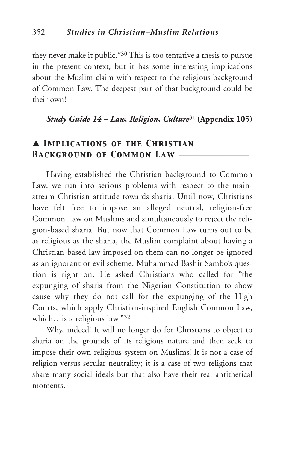they never make it public."30 This is too tentative a thesis to pursue in the present context, but it has some interesting implications about the Muslim claim with respect to the religious background of Common Law. The deepest part of that background could be their own!

*Study Guide 14 – Law, Religion, Culture*<sup>31</sup> **(Appendix 105)**

## ▲ *Implications of the Christian Background of Common Law* \_\_\_\_\_\_\_\_\_\_\_\_\_\_\_\_\_\_

Having established the Christian background to Common Law, we run into serious problems with respect to the mainstream Christian attitude towards sharia. Until now, Christians have felt free to impose an alleged neutral, religion-free Common Law on Muslims and simultaneously to reject the religion-based sharia. But now that Common Law turns out to be as religious as the sharia, the Muslim complaint about having a Christian-based law imposed on them can no longer be ignored as an ignorant or evil scheme. Muhammad Bashir Sambo's question is right on. He asked Christians who called for "the expunging of sharia from the Nigerian Constitution to show cause why they do not call for the expunging of the High Courts, which apply Christian-inspired English Common Law, which…is a religious law."32

Why, indeed! It will no longer do for Christians to object to sharia on the grounds of its religious nature and then seek to impose their own religious system on Muslims! It is not a case of religion versus secular neutrality; it is a case of two religions that share many social ideals but that also have their real antithetical moments.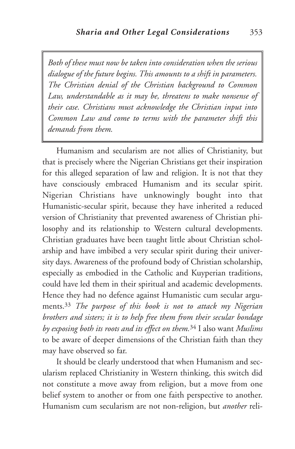*Both of these must now be taken into consideration when the serious dialogue of the future begins. This amounts to a shift in parameters. The Christian denial of the Christian background to Common Law, understandable as it may be, threatens to make nonsense of their case. Christians must acknowledge the Christian input into Common Law and come to terms with the parameter shift this demands from them.*

Humanism and secularism are not allies of Christianity, but that is precisely where the Nigerian Christians get their inspiration for this alleged separation of law and religion. It is not that they have consciously embraced Humanism and its secular spirit. Nigerian Christians have unknowingly bought into that Humanistic-secular spirit, because they have inherited a reduced version of Christianity that prevented awareness of Christian philosophy and its relationship to Western cultural developments. Christian graduates have been taught little about Christian scholarship and have imbibed a very secular spirit during their university days. Awareness of the profound body of Christian scholarship, especially as embodied in the Catholic and Kuyperian traditions, could have led them in their spiritual and academic developments. Hence they had no defence against Humanistic cum secular arguments.33 *The purpose of this book is not to attack my Nigerian brothers and sisters; it is to help free them from their secular bondage by exposing both its roots and its effect on them.*<sup>34</sup> I also want *Muslims* to be aware of deeper dimensions of the Christian faith than they may have observed so far.

It should be clearly understood that when Humanism and secularism replaced Christianity in Western thinking, this switch did not constitute a move away from religion, but a move from one belief system to another or from one faith perspective to another. Humanism cum secularism are not non-religion, but *another* reli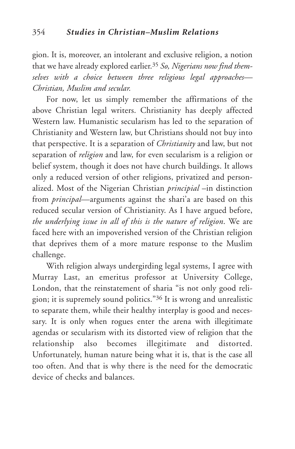gion. It is, moreover, an intolerant and exclusive religion, a notion that we have already explored earlier.35 *So, Nigerians now find themselves with a choice between three religious legal approaches— Christian, Muslim and secular.*

For now, let us simply remember the affirmations of the above Christian legal writers. Christianity has deeply affected Western law. Humanistic secularism has led to the separation of Christianity and Western law, but Christians should not buy into that perspective. It is a separation of *Christianity* and law, but not separation of *religion* and law, for even secularism is a religion or belief system, though it does not have church buildings. It allows only a reduced version of other religions, privatized and personalized. Most of the Nigerian Christian *principial* –in distinction from *principal*—arguments against the shari'a are based on this reduced secular version of Christianity. As I have argued before, *the underlying issue in all of this is the nature of religion*. We are faced here with an impoverished version of the Christian religion that deprives them of a more mature response to the Muslim challenge.

With religion always undergirding legal systems, I agree with Murray Last, an emeritus professor at University College, London, that the reinstatement of sharia "is not only good religion; it is supremely sound politics."36 It is wrong and unrealistic to separate them, while their healthy interplay is good and necessary. It is only when rogues enter the arena with illegitimate agendas or secularism with its distorted view of religion that the relationship also becomes illegitimate and distorted. Unfortunately, human nature being what it is, that is the case all too often. And that is why there is the need for the democratic device of checks and balances.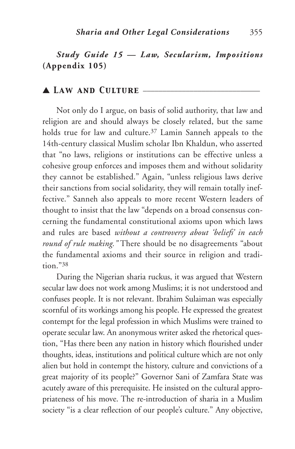# *Study Guide 15 — Law, Secularism, Impositions* **(Appendix 105)**

## ▲ *Law and Culture* \_\_\_\_\_\_\_\_\_\_\_\_\_\_\_\_\_\_\_\_\_\_\_\_\_\_\_\_\_\_

Not only do I argue, on basis of solid authority, that law and religion are and should always be closely related, but the same holds true for law and culture.<sup>37</sup> Lamin Sanneh appeals to the 14th-century classical Muslim scholar Ibn Khaldun, who asserted that "no laws, religions or institutions can be effective unless a cohesive group enforces and imposes them and without solidarity they cannot be established." Again, "unless religious laws derive their sanctions from social solidarity, they will remain totally ineffective." Sanneh also appeals to more recent Western leaders of thought to insist that the law "depends on a broad consensus concerning the fundamental constitutional axioms upon which laws and rules are based *without a controversy about 'beliefs' in each round of rule making."* There should be no disagreements "about the fundamental axioms and their source in religion and tradition."38

During the Nigerian sharia ruckus, it was argued that Western secular law does not work among Muslims; it is not understood and confuses people. It is not relevant. Ibrahim Sulaiman was especially scornful of its workings among his people. He expressed the greatest contempt for the legal profession in which Muslims were trained to operate secular law. An anonymous writer asked the rhetorical question, "Has there been any nation in history which flourished under thoughts, ideas, institutions and political culture which are not only alien but hold in contempt the history, culture and convictions of a great majority of its people?" Governor Sani of Zamfara State was acutely aware of this prerequisite. He insisted on the cultural appropriateness of his move. The re-introduction of sharia in a Muslim society "is a clear reflection of our people's culture." Any objective,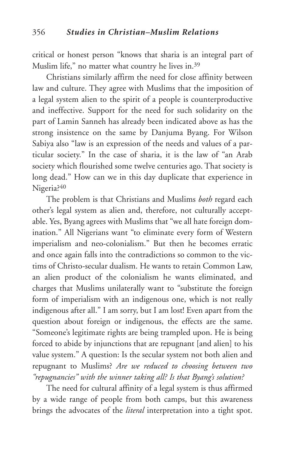critical or honest person "knows that sharia is an integral part of Muslim life," no matter what country he lives in.39

Christians similarly affirm the need for close affinity between law and culture. They agree with Muslims that the imposition of a legal system alien to the spirit of a people is counterproductive and ineffective. Support for the need for such solidarity on the part of Lamin Sanneh has already been indicated above as has the strong insistence on the same by Danjuma Byang. For Wilson Sabiya also "law is an expression of the needs and values of a particular society." In the case of sharia, it is the law of "an Arab society which flourished some twelve centuries ago. That society is long dead." How can we in this day duplicate that experience in Nigeria?40

The problem is that Christians and Muslims *both* regard each other's legal system as alien and, therefore, not culturally acceptable. Yes, Byang agrees with Muslims that "we all hate foreign domination." All Nigerians want "to eliminate every form of Western imperialism and neo-colonialism." But then he becomes erratic and once again falls into the contradictions so common to the victims of Christo-secular dualism. He wants to retain Common Law, an alien product of the colonialism he wants eliminated, and charges that Muslims unilaterally want to "substitute the foreign form of imperialism with an indigenous one, which is not really indigenous after all." I am sorry, but I am lost! Even apart from the question about foreign or indigenous, the effects are the same. "Someone's legitimate rights are being trampled upon. He is being forced to abide by injunctions that are repugnant [and alien] to his value system." A question: Is the secular system not both alien and repugnant to Muslims? *Are we reduced to choosing between two "repugnancies" with the winner taking all? Is that Byang's solution?*

The need for cultural affinity of a legal system is thus affirmed by a wide range of people from both camps, but this awareness brings the advocates of the *literal* interpretation into a tight spot.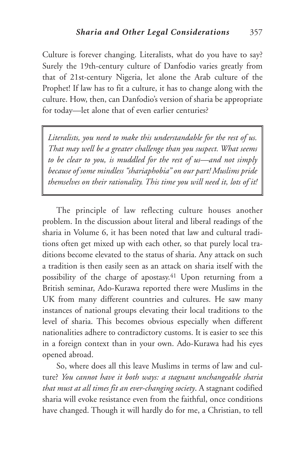Culture is forever changing. Literalists, what do you have to say? Surely the 19th-century culture of Danfodio varies greatly from that of 21st-century Nigeria, let alone the Arab culture of the Prophet! If law has to fit a culture, it has to change along with the culture. How, then, can Danfodio's version of sharia be appropriate for today—let alone that of even earlier centuries?

*Literalists, you need to make this understandable for the rest of us. That may well be a greater challenge than you suspect. What seems to be clear to you, is muddled for the rest of us—and not simply because of some mindless "shariaphobia" on our part! Muslims pride themselves on their rationality. This time you will need it, lots of it!*

The principle of law reflecting culture houses another problem. In the discussion about literal and liberal readings of the sharia in Volume 6, it has been noted that law and cultural traditions often get mixed up with each other, so that purely local traditions become elevated to the status of sharia. Any attack on such a tradition is then easily seen as an attack on sharia itself with the possibility of the charge of apostasy.41 Upon returning from a British seminar, Ado-Kurawa reported there were Muslims in the UK from many different countries and cultures. He saw many instances of national groups elevating their local traditions to the level of sharia. This becomes obvious especially when different nationalities adhere to contradictory customs. It is easier to see this in a foreign context than in your own. Ado-Kurawa had his eyes opened abroad.

So, where does all this leave Muslims in terms of law and culture? *You cannot have it both ways: a stagnant unchangeable sharia that must at all times fit an ever-changing society*. A stagnant codified sharia will evoke resistance even from the faithful, once conditions have changed. Though it will hardly do for me, a Christian, to tell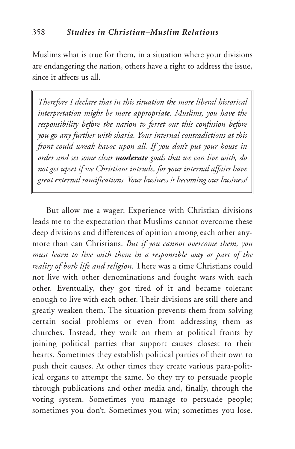Muslims what is true for them, in a situation where your divisions are endangering the nation, others have a right to address the issue, since it affects us all.

*Therefore I declare that in this situation the more liberal historical interpretation might be more appropriate. Muslims, you have the responsibility before the nation to ferret out this confusion before you go any further with sharia. Your internal contradictions at this front could wreak havoc upon all. If you don't put your house in order and set some clear moderate goals that we can live with, do not get upset if we Christians intrude, for your internal affairs have great external ramifications. Your business is becoming our business!*

But allow me a wager: Experience with Christian divisions leads me to the expectation that Muslims cannot overcome these deep divisions and differences of opinion among each other anymore than can Christians. *But if you cannot overcome them, you must learn to live with them in a responsible way as part of the reality of both life and religion.* There was a time Christians could not live with other denominations and fought wars with each other. Eventually, they got tired of it and became tolerant enough to live with each other. Their divisions are still there and greatly weaken them. The situation prevents them from solving certain social problems or even from addressing them as churches. Instead, they work on them at political fronts by joining political parties that support causes closest to their hearts. Sometimes they establish political parties of their own to push their causes. At other times they create various para-political organs to attempt the same. So they try to persuade people through publications and other media and, finally, through the voting system. Sometimes you manage to persuade people; sometimes you don't. Sometimes you win; sometimes you lose.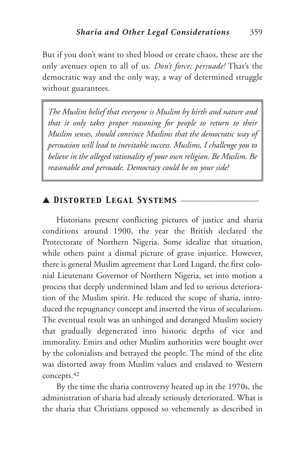But if you don't want to shed blood or create chaos, these are the only avenues open to all of us. *Don't force; persuade!* That's the democratic way and the only way, a way of determined struggle without guarantees.

*The Muslim belief that everyone is Muslim by birth and nature and that it only takes proper reasoning for people to return to their Muslim senses, should convince Muslims that the democratic way of persuasion will lead to inevitable success. Muslims, I challenge you to believe in the alleged rationality of your own religion. Be Muslim. Be reasonable and persuade. Democracy could be on your side!*

## ▲ *Distorted Legal Systems* \_\_\_\_\_\_\_\_\_\_\_\_\_\_\_\_\_\_\_\_

Historians present conflicting pictures of justice and sharia conditions around 1900, the year the British declared the Protectorate of Northern Nigeria. Some idealize that situation, while others paint a dismal picture of grave injustice. However, there is general Muslim agreement that Lord Lugard, the first colonial Lieutenant Governor of Northern Nigeria, set into motion a process that deeply undermined Islam and led to serious deterioration of the Muslim spirit. He reduced the scope of sharia, introduced the repugnancy concept and inserted the virus of secularism. The eventual result was an unhinged and deranged Muslim society that gradually degenerated into historic depths of vice and immorality. Emirs and other Muslim authorities were bought over by the colonialists and betrayed the people. The mind of the elite was distorted away from Muslim values and enslaved to Western concepts.42

By the time the sharia controversy heated up in the 1970s, the administration of sharia had already seriously deteriorated. What is the sharia that Christians opposed so vehemently as described in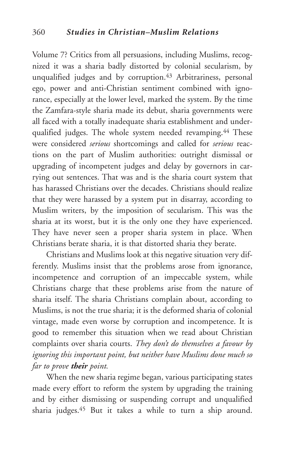Volume 7? Critics from all persuasions, including Muslims, recognized it was a sharia badly distorted by colonial secularism, by unqualified judges and by corruption.<sup>43</sup> Arbitrariness, personal ego, power and anti-Christian sentiment combined with ignorance, especially at the lower level, marked the system. By the time the Zamfara-style sharia made its debut, sharia governments were all faced with a totally inadequate sharia establishment and underqualified judges. The whole system needed revamping.44 These were considered *serious* shortcomings and called for *serious* reactions on the part of Muslim authorities: outright dismissal or upgrading of incompetent judges and delay by governors in carrying out sentences. That was and is the sharia court system that has harassed Christians over the decades. Christians should realize that they were harassed by a system put in disarray, according to Muslim writers, by the imposition of secularism. This was the sharia at its worst, but it is the only one they have experienced. They have never seen a proper sharia system in place. When Christians berate sharia, it is that distorted sharia they berate.

Christians and Muslims look at this negative situation very differently. Muslims insist that the problems arose from ignorance, incompetence and corruption of an impeccable system, while Christians charge that these problems arise from the nature of sharia itself. The sharia Christians complain about, according to Muslims, is not the true sharia; it is the deformed sharia of colonial vintage, made even worse by corruption and incompetence. It is good to remember this situation when we read about Christian complaints over sharia courts. *They don't do themselves a favour by ignoring this important point, but neither have Muslims done much so far to prove their point.*

When the new sharia regime began, various participating states made every effort to reform the system by upgrading the training and by either dismissing or suspending corrupt and unqualified sharia judges.45 But it takes a while to turn a ship around.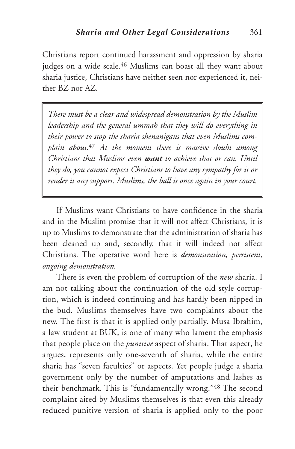Christians report continued harassment and oppression by sharia judges on a wide scale.<sup>46</sup> Muslims can boast all they want about sharia justice, Christians have neither seen nor experienced it, neither BZ nor AZ.

*There must be a clear and widespread demonstration by the Muslim leadership and the general ummah that they will do everything in their power to stop the sharia shenanigans that even Muslims complain about.*<sup>47</sup> *At the moment there is massive doubt among Christians that Muslims even want to achieve that or can. Until they do, you cannot expect Christians to have any sympathy for it or render it any support. Muslims, the ball is once again in your court.*

If Muslims want Christians to have confidence in the sharia and in the Muslim promise that it will not affect Christians, it is up to Muslims to demonstrate that the administration of sharia has been cleaned up and, secondly, that it will indeed not affect Christians. The operative word here is *demonstration, persistent, ongoing demonstration.*

There is even the problem of corruption of the *new* sharia. I am not talking about the continuation of the old style corruption, which is indeed continuing and has hardly been nipped in the bud. Muslims themselves have two complaints about the new. The first is that it is applied only partially. Musa Ibrahim, a law student at BUK, is one of many who lament the emphasis that people place on the *punitive* aspect of sharia. That aspect, he argues, represents only one-seventh of sharia, while the entire sharia has "seven faculties" or aspects. Yet people judge a sharia government only by the number of amputations and lashes as their benchmark. This is "fundamentally wrong."48 The second complaint aired by Muslims themselves is that even this already reduced punitive version of sharia is applied only to the poor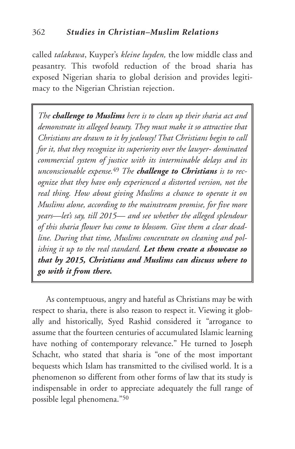called *talakawa*, Kuyper's *kleine luyden,* the low middle class and peasantry. This twofold reduction of the broad sharia has exposed Nigerian sharia to global derision and provides legitimacy to the Nigerian Christian rejection.

*The challenge to Muslims here is to clean up their sharia act and demonstrate its alleged beauty. They must make it so attractive that Christians are drawn to it by jealousy! That Christians begin to call for it, that they recognize its superiority over the lawyer- dominated commercial system of justice with its interminable delays and its unconscionable expense.*<sup>49</sup> *The challenge to Christians is to recognize that they have only experienced a distorted version, not the real thing. How about giving Muslims a chance to operate it on Muslims alone, according to the mainstream promise, for five more years—let's say, till 2015— and see whether the alleged splendour of this sharia flower has come to blossom. Give them a clear deadline. During that time, Muslims concentrate on cleaning and polishing it up to the real standard. Let them create a showcase so that by 2015, Christians and Muslims can discuss where to go with it from there.*

As contemptuous, angry and hateful as Christians may be with respect to sharia, there is also reason to respect it. Viewing it globally and historically, Syed Rashid considered it "arrogance to assume that the fourteen centuries of accumulated Islamic learning have nothing of contemporary relevance." He turned to Joseph Schacht, who stated that sharia is "one of the most important bequests which Islam has transmitted to the civilised world. It is a phenomenon so different from other forms of law that its study is indispensable in order to appreciate adequately the full range of possible legal phenomena."50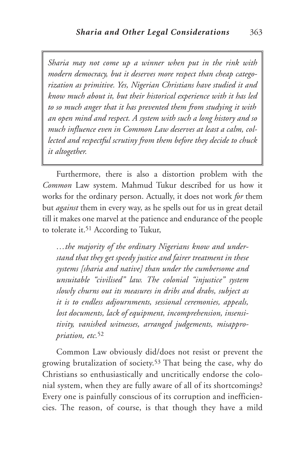*Sharia may not come up a winner when put in the rink with modern democracy, but it deserves more respect than cheap categorization as primitive. Yes, Nigerian Christians have studied it and know much about it, but their historical experience with it has led to so much anger that it has prevented them from studying it with an open mind and respect. A system with such a long history and so much influence even in Common Law deserves at least a calm, collected and respectful scrutiny from them before they decide to chuck it altogether.*

Furthermore, there is also a distortion problem with the *Common* Law system. Mahmud Tukur described for us how it works for the ordinary person. Actually, it does not work *for* them but *against* them in every way, as he spells out for us in great detail till it makes one marvel at the patience and endurance of the people to tolerate it.51 According to Tukur,

*…the majority of the ordinary Nigerians know and understand that they get speedy justice and fairer treatment in these systems [sharia and native] than under the cumbersome and unsuitable "civilised" law. The colonial "injustice" system slowly churns out its measures in dribs and drabs, subject as it is to endless adjournments, sessional ceremonies, appeals, lost documents, lack of equipment, incomprehension, insensitivity, vanished witnesses, arranged judgements, misappropriation, etc.*<sup>52</sup>

Common Law obviously did/does not resist or prevent the growing brutalization of society.53 That being the case, why do Christians so enthusiastically and uncritically endorse the colonial system, when they are fully aware of all of its shortcomings? Every one is painfully conscious of its corruption and inefficiencies. The reason, of course, is that though they have a mild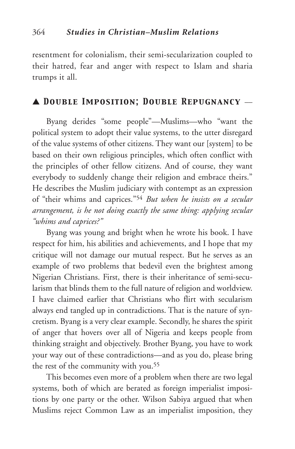resentment for colonialism, their semi-secularization coupled to their hatred, fear and anger with respect to Islam and sharia trumps it all.

## ▲ *Double Imposition; Double Repugnancy* \_\_

Byang derides "some people"—Muslims—who "want the political system to adopt their value systems, to the utter disregard of the value systems of other citizens. They want our [system] to be based on their own religious principles, which often conflict with the principles of other fellow citizens. And of course, they want everybody to suddenly change their religion and embrace theirs." He describes the Muslim judiciary with contempt as an expression of "their whims and caprices."54 *But when he insists on a secular arrangement, is he not doing exactly the same thing: applying secular "whims and caprices?"*

Byang was young and bright when he wrote his book. I have respect for him, his abilities and achievements, and I hope that my critique will not damage our mutual respect. But he serves as an example of two problems that bedevil even the brightest among Nigerian Christians. First, there is their inheritance of semi-secularism that blinds them to the full nature of religion and worldview. I have claimed earlier that Christians who flirt with secularism always end tangled up in contradictions. That is the nature of syncretism. Byang is a very clear example. Secondly, he shares the spirit of anger that hovers over all of Nigeria and keeps people from thinking straight and objectively. Brother Byang, you have to work your way out of these contradictions—and as you do, please bring the rest of the community with you.55

This becomes even more of a problem when there are two legal systems, both of which are berated as foreign imperialist impositions by one party or the other. Wilson Sabiya argued that when Muslims reject Common Law as an imperialist imposition, they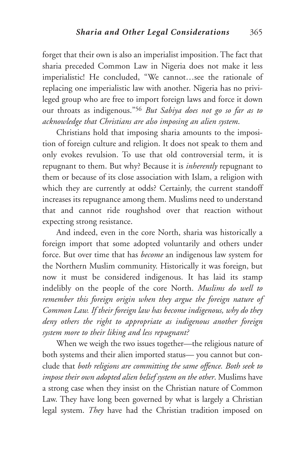forget that their own is also an imperialist imposition. The fact that sharia preceded Common Law in Nigeria does not make it less imperialistic! He concluded, "We cannot…see the rationale of replacing one imperialistic law with another. Nigeria has no privileged group who are free to import foreign laws and force it down our throats as indigenous."56 *But Sabiya does not go so far as to acknowledge that Christians are also imposing an alien system*.

Christians hold that imposing sharia amounts to the imposition of foreign culture and religion. It does not speak to them and only evokes revulsion. To use that old controversial term, it is repugnant to them. But why? Because it is *inherently* repugnant to them or because of its close association with Islam, a religion with which they are currently at odds? Certainly, the current standoff increases its repugnance among them. Muslims need to understand that and cannot ride roughshod over that reaction without expecting strong resistance.

And indeed, even in the core North, sharia was historically a foreign import that some adopted voluntarily and others under force. But over time that has *become* an indigenous law system for the Northern Muslim community. Historically it was foreign, but now it must be considered indigenous. It has laid its stamp indelibly on the people of the core North. *Muslims do well to remember this foreign origin when they argue the foreign nature of Common Law. If their foreign law has become indigenous, why do they deny others the right to appropriate as indigenous another foreign system more to their liking and less repugnant?*

When we weigh the two issues together—the religious nature of both systems and their alien imported status— you cannot but conclude that *both religions are committing the same offence. Both seek to impose their own adopted alien belief system on the other*. Muslims have a strong case when they insist on the Christian nature of Common Law. They have long been governed by what is largely a Christian legal system. *They* have had the Christian tradition imposed on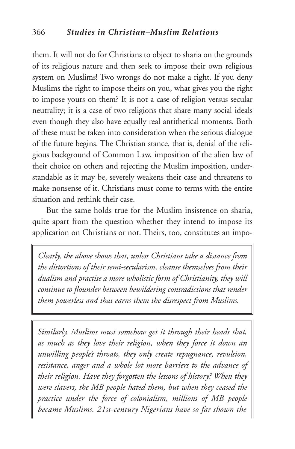them. It will not do for Christians to object to sharia on the grounds of its religious nature and then seek to impose their own religious system on Muslims! Two wrongs do not make a right. If you deny Muslims the right to impose theirs on you, what gives you the right to impose yours on them? It is not a case of religion versus secular neutrality; it is a case of two religions that share many social ideals even though they also have equally real antithetical moments. Both of these must be taken into consideration when the serious dialogue of the future begins. The Christian stance, that is, denial of the religious background of Common Law, imposition of the alien law of their choice on others and rejecting the Muslim imposition, understandable as it may be, severely weakens their case and threatens to make nonsense of it. Christians must come to terms with the entire situation and rethink their case.

But the same holds true for the Muslim insistence on sharia, quite apart from the question whether they intend to impose its application on Christians or not. Theirs, too, constitutes an impo-

*Clearly, the above shows that, unless Christians take a distance from the distortions of their semi-secularism, cleanse themselves from their dualism and practise a more wholistic form of Christianity, they will continue to flounder between bewildering contradictions that render them powerless and that earns them the disrespect from Muslims.*

*Similarly, Muslims must somehow get it through their heads that, as much as they love their religion, when they force it down an unwilling people's throats, they only create repugnance, revulsion, resistance, anger and a whole lot more barriers to the advance of their religion. Have they forgotten the lessons of history? When they were slavers, the MB people hated them, but when they ceased the practice under the force of colonialism, millions of MB people became Muslims. 21st-century Nigerians have so far shown the*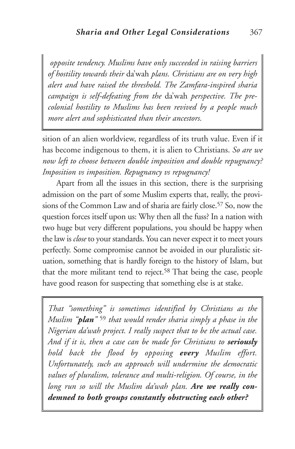*opposite tendency. Muslims have only succeeded in raising barriers of hostility towards their* da'wah *plans. Christians are on very high alert and have raised the threshold. The Zamfara-inspired sharia campaign is self-defeating from the* da'wah *perspective. The precolonial hostility to Muslims has been revived by a people much more alert and sophisticated than their ancestors.*

sition of an alien worldview, regardless of its truth value. Even if it has become indigenous to them, it is alien to Christians. *So are we now left to choose between double imposition and double repugnancy? Imposition vs imposition. Repugnancy vs repugnancy!*

Apart from all the issues in this section, there is the surprising admission on the part of some Muslim experts that, really, the provisions of the Common Law and of sharia are fairly close.<sup>57</sup> So, now the question forces itself upon us: Why then all the fuss? In a nation with two huge but very different populations, you should be happy when the law is *close* to your standards. You can never expect it to meet yours perfectly. Some compromise cannot be avoided in our pluralistic situation, something that is hardly foreign to the history of Islam, but that the more militant tend to reject. <sup>58</sup> That being the case, people have good reason for suspecting that something else is at stake.

*That "something" is sometimes identified by Christians as the Muslim "plan"* <sup>59</sup> *that would render sharia simply a phase in the Nigerian da'wah project. I really suspect that to be the actual case. And if it is, then a case can be made for Christians to seriously hold back the flood by opposing every Muslim effort. Unfortunately, such an approach will undermine the democratic values of pluralism, tolerance and multi-religion. Of course, in the long run so will the Muslim da'wah plan. Are we really condemned to both groups constantly obstructing each other?*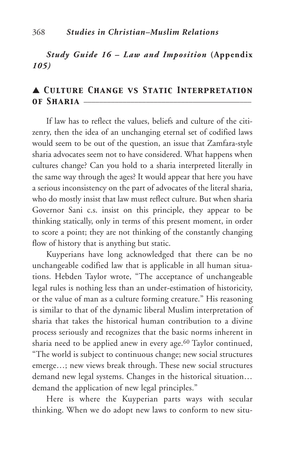## *Study Guide 16 – Law and Imposition* **(Appendix** *105)*

# ▲ *Culture Change vs Static Interpretation of Sharia* \_\_\_\_\_\_\_\_\_\_\_\_\_\_\_\_\_\_\_\_\_\_\_\_\_\_\_\_\_\_\_\_\_\_\_\_\_\_\_\_\_\_\_

If law has to reflect the values, beliefs and culture of the citizenry, then the idea of an unchanging eternal set of codified laws would seem to be out of the question, an issue that Zamfara-style sharia advocates seem not to have considered. What happens when cultures change? Can you hold to a sharia interpreted literally in the same way through the ages? It would appear that here you have a serious inconsistency on the part of advocates of the literal sharia, who do mostly insist that law must reflect culture. But when sharia Governor Sani c.s. insist on this principle, they appear to be thinking statically, only in terms of this present moment, in order to score a point; they are not thinking of the constantly changing flow of history that is anything but static.

Kuyperians have long acknowledged that there can be no unchangeable codified law that is applicable in all human situations. Hebden Taylor wrote, "The acceptance of unchangeable legal rules is nothing less than an under-estimation of historicity, or the value of man as a culture forming creature." His reasoning is similar to that of the dynamic liberal Muslim interpretation of sharia that takes the historical human contribution to a divine process seriously and recognizes that the basic norms inherent in sharia need to be applied anew in every age.<sup>60</sup> Taylor continued, "The world is subject to continuous change; new social structures emerge…; new views break through. These new social structures demand new legal systems. Changes in the historical situation… demand the application of new legal principles."

Here is where the Kuyperian parts ways with secular thinking. When we do adopt new laws to conform to new situ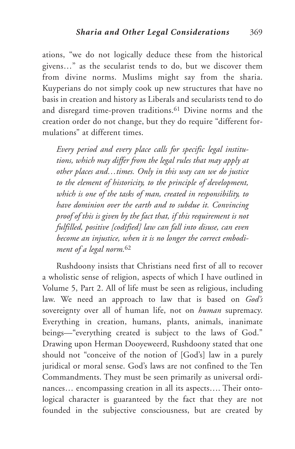ations, "we do not logically deduce these from the historical givens…" as the secularist tends to do, but we discover them from divine norms. Muslims might say from the sharia. Kuyperians do not simply cook up new structures that have no basis in creation and history as Liberals and secularists tend to do and disregard time-proven traditions.61 Divine norms and the creation order do not change, but they do require "different formulations" at different times.

*Every period and every place calls for specific legal institutions, which may differ from the legal rules that may apply at other places and…times. Only in this way can we do justice to the element of historicity, to the principle of development, which is one of the tasks of man, created in responsibility, to have dominion over the earth and to subdue it. Convincing proof of this is given by the fact that, if this requirement is not fulfilled, positive [codified] law can fall into disuse, can even become an injustice, when it is no longer the correct embodiment of a legal norm.*<sup>62</sup>

Rushdoony insists that Christians need first of all to recover a wholistic sense of religion, aspects of which I have outlined in Volume 5, Part 2. All of life must be seen as religious, including law. We need an approach to law that is based on *God's* sovereignty over all of human life, not on *human* supremacy. Everything in creation, humans, plants, animals, inanimate beings—"everything created is subject to the laws of God." Drawing upon Herman Dooyeweerd, Rushdoony stated that one should not "conceive of the notion of [God's] law in a purely juridical or moral sense. God's laws are not confined to the Ten Commandments. They must be seen primarily as universal ordinances… encompassing creation in all its aspects…. Their ontological character is guaranteed by the fact that they are not founded in the subjective consciousness, but are created by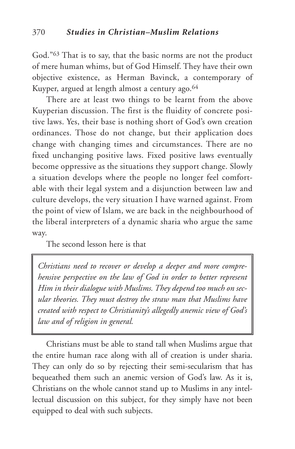God."63 That is to say, that the basic norms are not the product of mere human whims, but of God Himself. They have their own objective existence, as Herman Bavinck, a contemporary of Kuyper, argued at length almost a century ago.<sup>64</sup>

There are at least two things to be learnt from the above Kuyperian discussion. The first is the fluidity of concrete positive laws. Yes, their base is nothing short of God's own creation ordinances. Those do not change, but their application does change with changing times and circumstances. There are no fixed unchanging positive laws. Fixed positive laws eventually become oppressive as the situations they support change. Slowly a situation develops where the people no longer feel comfortable with their legal system and a disjunction between law and culture develops, the very situation I have warned against. From the point of view of Islam, we are back in the neighbourhood of the liberal interpreters of a dynamic sharia who argue the same way.

The second lesson here is that

*Christians need to recover or develop a deeper and more comprehensive perspective on the law of God in order to better represent Him in their dialogue with Muslims. They depend too much on secular theories. They must destroy the straw man that Muslims have created with respect to Christianity's allegedly anemic view of God's law and of religion in general.*

Christians must be able to stand tall when Muslims argue that the entire human race along with all of creation is under sharia. They can only do so by rejecting their semi-secularism that has bequeathed them such an anemic version of God's law. As it is, Christians on the whole cannot stand up to Muslims in any intellectual discussion on this subject, for they simply have not been equipped to deal with such subjects.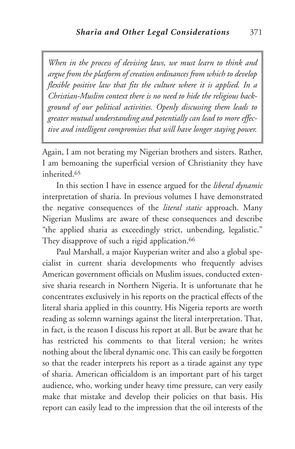*When in the process of devising laws, we must learn to think and argue from the platform of creation ordinances from which to develop flexible positive law that fits the culture where it is applied. In a Christian-Muslim context there is no need to hide the religious background of our political activities. Openly discussing them leads to greater mutual understanding and potentially can lead to more effective and intelligent compromises that will have longer staying power.*

Again, I am not berating my Nigerian brothers and sisters. Rather, I am bemoaning the superficial version of Christianity they have inherited.65

In this section I have in essence argued for the *liberal dynamic* interpretation of sharia. In previous volumes I have demonstrated the negative consequences of the *literal static* approach. Many Nigerian Muslims are aware of these consequences and describe "the applied sharia as exceedingly strict, unbending, legalistic." They disapprove of such a rigid application.<sup>66</sup>

Paul Marshall, a major Kuyperian writer and also a global specialist in current sharia developments who frequently advises American government officials on Muslim issues, conducted extensive sharia research in Northern Nigeria. It is unfortunate that he concentrates exclusively in his reports on the practical effects of the literal sharia applied in this country. His Nigeria reports are worth reading as solemn warnings against the literal interpretation. That, in fact, is the reason I discuss his report at all. But be aware that he has restricted his comments to that literal version; he writes nothing about the liberal dynamic one. This can easily be forgotten so that the reader interprets his report as a tirade against any type of sharia. American officialdom is an important part of his target audience, who, working under heavy time pressure, can very easily make that mistake and develop their policies on that basis. His report can easily lead to the impression that the oil interests of the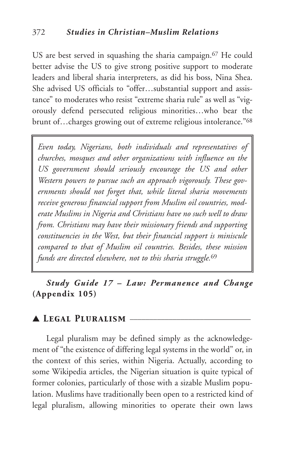US are best served in squashing the sharia campaign.<sup>67</sup> He could better advise the US to give strong positive support to moderate leaders and liberal sharia interpreters, as did his boss, Nina Shea. She advised US officials to "offer…substantial support and assistance" to moderates who resist "extreme sharia rule" as well as "vigorously defend persecuted religious minorities…who bear the brunt of…charges growing out of extreme religious intolerance."68

*Even today, Nigerians, both individuals and representatives of churches, mosques and other organizations with influence on the US government should seriously encourage the US and other Western powers to pursue such an approach vigorously. These governments should not forget that, while literal sharia movements receive generous financial support from Muslim oil countries, moderate Muslims in Nigeria and Christians have no such well to draw from. Christians may have their missionary friends and supporting constituencies in the West, but their financial support is miniscule compared to that of Muslim oil countries. Besides, these mission funds are directed elsewhere, not to this sharia struggle.*<sup>69</sup>

*Study Guide 17 – Law: Permanence and Change* **(Appendix 105)**

## ▲ *Legal Pluralism* \_\_\_\_\_\_\_\_\_\_\_\_\_\_\_\_\_\_\_\_\_\_\_\_\_\_\_\_\_\_\_

Legal pluralism may be defined simply as the acknowledgement of "the existence of differing legal systems in the world" or, in the context of this series, within Nigeria. Actually, according to some Wikipedia articles, the Nigerian situation is quite typical of former colonies, particularly of those with a sizable Muslim population. Muslims have traditionally been open to a restricted kind of legal pluralism, allowing minorities to operate their own laws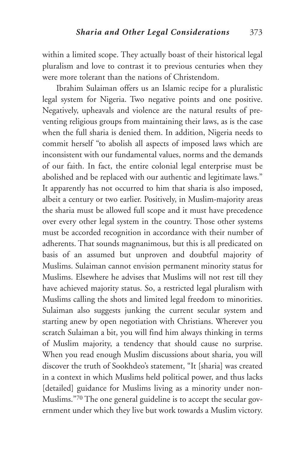within a limited scope. They actually boast of their historical legal pluralism and love to contrast it to previous centuries when they were more tolerant than the nations of Christendom.

Ibrahim Sulaiman offers us an Islamic recipe for a pluralistic legal system for Nigeria. Two negative points and one positive. Negatively, upheavals and violence are the natural results of preventing religious groups from maintaining their laws, as is the case when the full sharia is denied them. In addition, Nigeria needs to commit herself "to abolish all aspects of imposed laws which are inconsistent with our fundamental values, norms and the demands of our faith. In fact, the entire colonial legal enterprise must be abolished and be replaced with our authentic and legitimate laws." It apparently has not occurred to him that sharia is also imposed, albeit a century or two earlier. Positively, in Muslim-majority areas the sharia must be allowed full scope and it must have precedence over every other legal system in the country. Those other systems must be accorded recognition in accordance with their number of adherents. That sounds magnanimous, but this is all predicated on basis of an assumed but unproven and doubtful majority of Muslims. Sulaiman cannot envision permanent minority status for Muslims. Elsewhere he advises that Muslims will not rest till they have achieved majority status. So, a restricted legal pluralism with Muslims calling the shots and limited legal freedom to minorities. Sulaiman also suggests junking the current secular system and starting anew by open negotiation with Christians. Wherever you scratch Sulaiman a bit, you will find him always thinking in terms of Muslim majority, a tendency that should cause no surprise. When you read enough Muslim discussions about sharia, you will discover the truth of Sookhdeo's statement, "It [sharia] was created in a context in which Muslims held political power, and thus lacks [detailed] guidance for Muslims living as a minority under non-Muslims."70 The one general guideline is to accept the secular government under which they live but work towards a Muslim victory.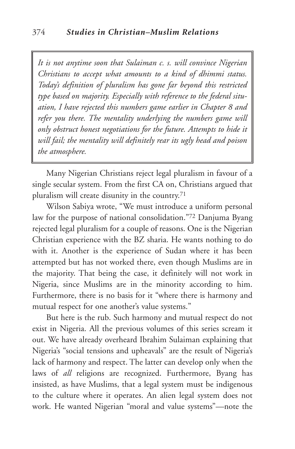*It is not anytime soon that Sulaiman c. s. will convince Nigerian Christians to accept what amounts to a kind of dhimmi status. Today's definition of pluralism has gone far beyond this restricted type based on majority. Especially with reference to the federal situation, I have rejected this numbers game earlier in Chapter 8 and refer you there. The mentality underlying the numbers game will only obstruct honest negotiations for the future. Attempts to hide it will fail; the mentality will definitely rear its ugly head and poison the atmosphere.*

Many Nigerian Christians reject legal pluralism in favour of a single secular system. From the first CA on, Christians argued that pluralism will create disunity in the country.71

Wilson Sabiya wrote, "We must introduce a uniform personal law for the purpose of national consolidation."72 Danjuma Byang rejected legal pluralism for a couple of reasons. One is the Nigerian Christian experience with the BZ sharia. He wants nothing to do with it. Another is the experience of Sudan where it has been attempted but has not worked there, even though Muslims are in the majority. That being the case, it definitely will not work in Nigeria, since Muslims are in the minority according to him. Furthermore, there is no basis for it "where there is harmony and mutual respect for one another's value systems."

But here is the rub. Such harmony and mutual respect do not exist in Nigeria. All the previous volumes of this series scream it out. We have already overheard Ibrahim Sulaiman explaining that Nigeria's "social tensions and upheavals" are the result of Nigeria's lack of harmony and respect. The latter can develop only when the laws of *all* religions are recognized. Furthermore, Byang has insisted, as have Muslims, that a legal system must be indigenous to the culture where it operates. An alien legal system does not work. He wanted Nigerian "moral and value systems"—note the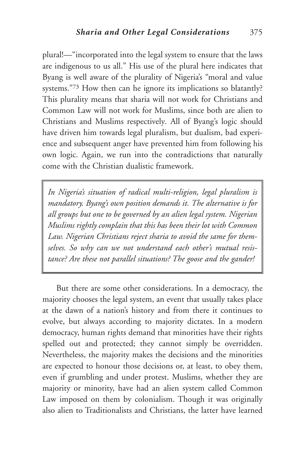plural!—"incorporated into the legal system to ensure that the laws are indigenous to us all." His use of the plural here indicates that Byang is well aware of the plurality of Nigeria's "moral and value systems."73 How then can he ignore its implications so blatantly? This plurality means that sharia will not work for Christians and Common Law will not work for Muslims, since both are alien to Christians and Muslims respectively*.* All of Byang's logic should have driven him towards legal pluralism, but dualism, bad experience and subsequent anger have prevented him from following his own logic. Again, we run into the contradictions that naturally come with the Christian dualistic framework.

*In Nigeria's situation of radical multi-religion, legal pluralism is mandatory. Byang's own position demands it. The alternative is for all groups but one to be governed by an alien legal system. Nigerian Muslims rightly complain that this has been their lot with Common Law. Nigerian Christians reject sharia to avoid the same for themselves. So why can we not understand each other's mutual resistance? Are these not parallel situations? The goose and the gander!*

But there are some other considerations. In a democracy, the majority chooses the legal system, an event that usually takes place at the dawn of a nation's history and from there it continues to evolve, but always according to majority dictates. In a modern democracy, human rights demand that minorities have their rights spelled out and protected; they cannot simply be overridden. Nevertheless, the majority makes the decisions and the minorities are expected to honour those decisions or, at least, to obey them, even if grumbling and under protest. Muslims, whether they are majority or minority, have had an alien system called Common Law imposed on them by colonialism. Though it was originally also alien to Traditionalists and Christians, the latter have learned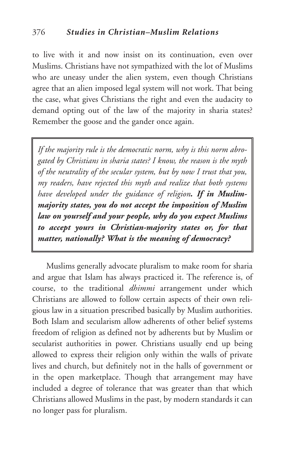to live with it and now insist on its continuation, even over Muslims. Christians have not sympathized with the lot of Muslims who are uneasy under the alien system, even though Christians agree that an alien imposed legal system will not work. That being the case, what gives Christians the right and even the audacity to demand opting out of the law of the majority in sharia states? Remember the goose and the gander once again.

*If the majority rule is the democratic norm, why is this norm abrogated by Christians in sharia states? I know, the reason is the myth of the neutrality of the secular system, but by now I trust that you, my readers, have rejected this myth and realize that both systems have developed under the guidance of religion. If in Muslimmajority states, you do not accept the imposition of Muslim law on yourself and your people, why do you expect Muslims to accept yours in Christian-majority states or, for that matter, nationally? What is the meaning of democracy?*

Muslims generally advocate pluralism to make room for sharia and argue that Islam has always practiced it. The reference is, of course, to the traditional *dhimmi* arrangement under which Christians are allowed to follow certain aspects of their own religious law in a situation prescribed basically by Muslim authorities. Both Islam and secularism allow adherents of other belief systems freedom of religion as defined not by adherents but by Muslim or secularist authorities in power. Christians usually end up being allowed to express their religion only within the walls of private lives and church, but definitely not in the halls of government or in the open marketplace. Though that arrangement may have included a degree of tolerance that was greater than that which Christians allowed Muslims in the past, by modern standards it can no longer pass for pluralism.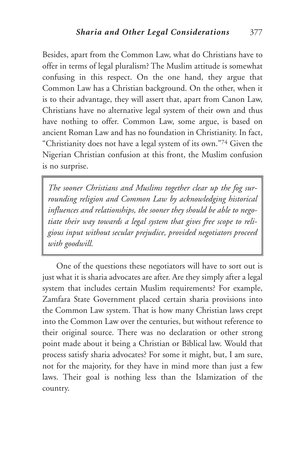Besides, apart from the Common Law, what do Christians have to offer in terms of legal pluralism? The Muslim attitude is somewhat confusing in this respect. On the one hand, they argue that Common Law has a Christian background. On the other, when it is to their advantage, they will assert that, apart from Canon Law, Christians have no alternative legal system of their own and thus have nothing to offer. Common Law, some argue, is based on ancient Roman Law and has no foundation in Christianity. In fact, "Christianity does not have a legal system of its own."74 Given the Nigerian Christian confusion at this front, the Muslim confusion is no surprise.

*The sooner Christians and Muslims together clear up the fog surrounding religion and Common Law by acknowledging historical influences and relationships, the sooner they should be able to negotiate their way towards a legal system that gives free scope to religious input without secular prejudice, provided negotiators proceed with goodwill.*

One of the questions these negotiators will have to sort out is just what it is sharia advocates are after. Are they simply after a legal system that includes certain Muslim requirements? For example, Zamfara State Government placed certain sharia provisions into the Common Law system. That is how many Christian laws crept into the Common Law over the centuries, but without reference to their original source. There was no declaration or other strong point made about it being a Christian or Biblical law. Would that process satisfy sharia advocates? For some it might, but, I am sure, not for the majority, for they have in mind more than just a few laws. Their goal is nothing less than the Islamization of the country.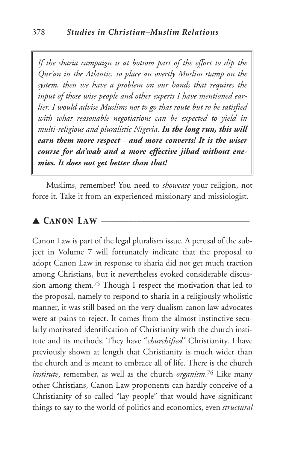*If the sharia campaign is at bottom part of the effort to dip the Qur'an in the Atlantic, to place an overtly Muslim stamp on the system, then we have a problem on our hands that requires the input of those wise people and other experts I have mentioned earlier. I would advise Muslims not to go that route but to be satisfied with what reasonable negotiations can be expected to yield in multi-religious and pluralistic Nigeria. In the long run, this will earn them more respect—and more converts! It is the wiser course for da'wah and a more effective jihad without enemies. It does not get better than that!*

Muslims, remember! You need to *showcase* your religion, not force it. Take it from an experienced missionary and missiologist.

#### $\blacktriangle$  *CANON LAW -*

Canon Law is part of the legal pluralism issue. A perusal of the subject in Volume 7 will fortunately indicate that the proposal to adopt Canon Law in response to sharia did not get much traction among Christians, but it nevertheless evoked considerable discussion among them.75 Though I respect the motivation that led to the proposal, namely to respond to sharia in a religiously wholistic manner, it was still based on the very dualism canon law advocates were at pains to reject. It comes from the almost instinctive secularly motivated identification of Christianity with the church institute and its methods. They have "*churchified"* Christianity. I have previously shown at length that Christianity is much wider than the church and is meant to embrace all of life. There is the church *institute*, remember, as well as the church *organism*.76 Like many other Christians, Canon Law proponents can hardly conceive of a Christianity of so-called "lay people" that would have significant things to say to the world of politics and economics, even *structural*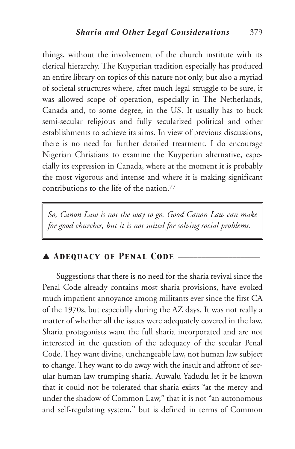things, without the involvement of the church institute with its clerical hierarchy. The Kuyperian tradition especially has produced an entire library on topics of this nature not only, but also a myriad of societal structures where, after much legal struggle to be sure, it was allowed scope of operation, especially in The Netherlands, Canada and, to some degree, in the US. It usually has to buck semi-secular religious and fully secularized political and other establishments to achieve its aims. In view of previous discussions, there is no need for further detailed treatment. I do encourage Nigerian Christians to examine the Kuyperian alternative, especially its expression in Canada, where at the moment it is probably the most vigorous and intense and where it is making significant contributions to the life of the nation.<sup>77</sup>

*So, Canon Law is not the way to go. Good Canon Law can make for good churches, but it is not suited for solving social problems.*

# ▲ *Adequacy of Penal Code* \_\_\_\_\_\_\_\_\_\_\_\_\_\_\_\_\_\_\_\_\_

Suggestions that there is no need for the sharia revival since the Penal Code already contains most sharia provisions, have evoked much impatient annoyance among militants ever since the first CA of the 1970s, but especially during the AZ days. It was not really a matter of whether all the issues were adequately covered in the law. Sharia protagonists want the full sharia incorporated and are not interested in the question of the adequacy of the secular Penal Code. They want divine, unchangeable law, not human law subject to change. They want to do away with the insult and affront of secular human law trumping sharia. Auwalu Yadudu let it be known that it could not be tolerated that sharia exists "at the mercy and under the shadow of Common Law," that it is not "an autonomous and self-regulating system," but is defined in terms of Common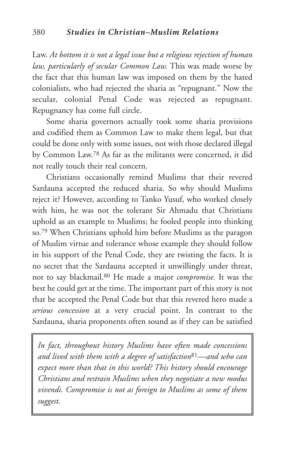Law. *At bottom it is not a legal issue but a religious rejection of human law, particularly of secular Common Law.* This was made worse by the fact that this human law was imposed on them by the hated colonialists, who had rejected the sharia as "repugnant." Now the secular, colonial Penal Code was rejected as repugnant. Repugnancy has come full circle.

Some sharia governors actually took some sharia provisions and codified them as Common Law to make them legal, but that could be done only with some issues, not with those declared illegal by Common Law.78 As far as the militants were concerned, it did not really touch their real concern.

Christians occasionally remind Muslims that their revered Sardauna accepted the reduced sharia. So why should Muslims reject it? However, according to Tanko Yusuf, who worked closely with him, he was not the tolerant Sir Ahmadu that Christians uphold as an example to Muslims; he fooled people into thinking so.79 When Christians uphold him before Muslims as the paragon of Muslim virtue and tolerance whose example they should follow in his support of the Penal Code, they are twisting the facts. It is no secret that the Sardauna accepted it unwillingly under threat, not to say blackmail.80 He made a major *compromise.* It was the best he could get at the time. The important part of this story is not that he accepted the Penal Code but that this revered hero made a *serious concession* at a very crucial point. In contrast to the Sardauna, sharia proponents often sound as if they can be satisfied

*In fact, throughout history Muslims have often made concessions and lived with them with a degree of satisfaction*81*—and who can expect more than that in this world? This history should encourage Christians and restrain Muslims when they negotiate a new modus vivendi. Compromise is not as foreign to Muslims as some of them suggest.*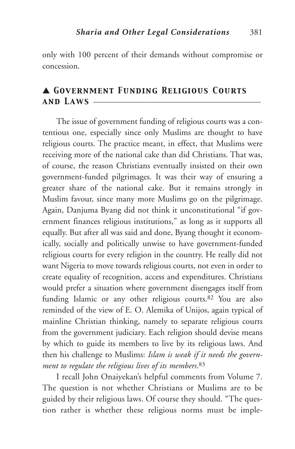only with 100 percent of their demands without compromise or concession.

# ▲ *Government Funding Religious Courts and Laws* \_\_\_\_\_\_\_\_\_\_\_\_\_\_\_\_\_\_\_\_\_\_\_\_\_\_\_\_\_\_\_\_\_\_\_\_\_\_\_\_\_\_\_

The issue of government funding of religious courts was a contentious one, especially since only Muslims are thought to have religious courts. The practice meant, in effect, that Muslims were receiving more of the national cake than did Christians. That was, of course, the reason Christians eventually insisted on their own government-funded pilgrimages. It was their way of ensuring a greater share of the national cake. But it remains strongly in Muslim favour, since many more Muslims go on the pilgrimage. Again, Danjuma Byang did not think it unconstitutional "if government finances religious institutions," as long as it supports all equally. But after all was said and done, Byang thought it economically, socially and politically unwise to have government-funded religious courts for every religion in the country. He really did not want Nigeria to move towards religious courts, not even in order to create equality of recognition, access and expenditures. Christians would prefer a situation where government disengages itself from funding Islamic or any other religious courts.82 You are also reminded of the view of E. O. Alemika of Unijos, again typical of mainline Christian thinking, namely to separate religious courts from the government judiciary. Each religion should devise means by which to guide its members to live by its religious laws. And then his challenge to Muslims: *Islam is weak if it needs the government to regulate the religious lives of its members*.83

I recall John Onaiyekan's helpful comments from Volume 7. The question is not whether Christians or Muslims are to be guided by their religious laws. Of course they should. "The question rather is whether these religious norms must be imple-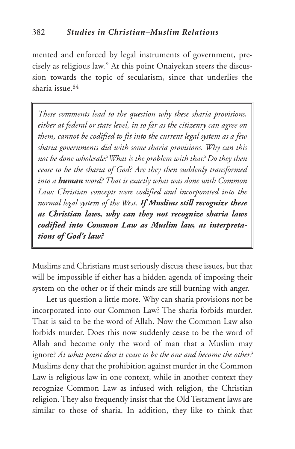mented and enforced by legal instruments of government, precisely as religious law." At this point Onaiyekan steers the discussion towards the topic of secularism, since that underlies the sharia issue.84

*These comments lead to the question why these sharia provisions, either at federal or state level, in so far as the citizenry can agree on them, cannot be codified to fit into the current legal system as a few sharia governments did with some sharia provisions. Why can this not be done wholesale? What is the problem with that? Do they then cease to be the sharia of God? Are they then suddenly transformed into a human word? That is exactly what was done with Common Law: Christian concepts were codified and incorporated into the normal legal system of the West. If Muslims still recognize these as Christian laws, why can they not recognize sharia laws codified into Common Law as Muslim law, as interpretations of God's law?*

Muslims and Christians must seriously discuss these issues, but that will be impossible if either has a hidden agenda of imposing their system on the other or if their minds are still burning with anger.

Let us question a little more. Why can sharia provisions not be incorporated into our Common Law? The sharia forbids murder. That is said to be the word of Allah. Now the Common Law also forbids murder. Does this now suddenly cease to be the word of Allah and become only the word of man that a Muslim may ignore? *At what point does it cease to be the one and become the other?* Muslims deny that the prohibition against murder in the Common Law is religious law in one context, while in another context they recognize Common Law as infused with religion, the Christian religion. They also frequently insist that the Old Testament laws are similar to those of sharia. In addition, they like to think that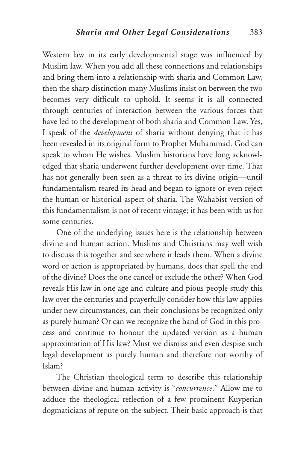Western law in its early developmental stage was influenced by Muslim law. When you add all these connections and relationships and bring them into a relationship with sharia and Common Law, then the sharp distinction many Muslims insist on between the two becomes very difficult to uphold. It seems it is all connected through centuries of interaction between the various forces that have led to the development of both sharia and Common Law. Yes, I speak of the *development* of sharia without denying that it has been revealed in its original form to Prophet Muhammad. God can speak to whom He wishes. Muslim historians have long acknowledged that sharia underwent further development over time. That has not generally been seen as a threat to its divine origin—until fundamentalism reared its head and began to ignore or even reject the human or historical aspect of sharia. The Wahabist version of this fundamentalism is not of recent vintage; it has been with us for some centuries.

One of the underlying issues here is the relationship between divine and human action. Muslims and Christians may well wish to discuss this together and see where it leads them. When a divine word or action is appropriated by humans, does that spell the end of the divine? Does the one cancel or exclude the other? When God reveals His law in one age and culture and pious people study this law over the centuries and prayerfully consider how this law applies under new circumstances, can their conclusions be recognized only as purely human? Or can we recognize the hand of God in this process and continue to honour the updated version as a human approximation of His law? Must we dismiss and even despise such legal development as purely human and therefore not worthy of Islam?

The Christian theological term to describe this relationship between divine and human activity is "*concurrence*." Allow me to adduce the theological reflection of a few prominent Kuyperian dogmaticians of repute on the subject. Their basic approach is that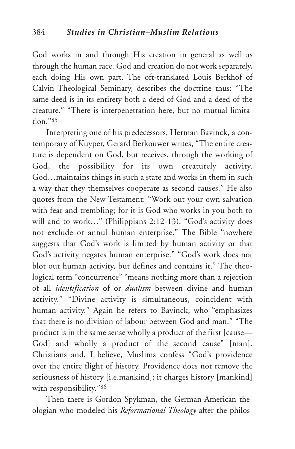God works in and through His creation in general as well as through the human race. God and creation do not work separately, each doing His own part. The oft-translated Louis Berkhof of Calvin Theological Seminary, describes the doctrine thus: "The same deed is in its entirety both a deed of God and a deed of the creature." "There is interpenetration here, but no mutual limitation."85

Interpreting one of his predecessors, Herman Bavinck, a contemporary of Kuyper, Gerard Berkouwer writes, "The entire creature is dependent on God, but receives, through the working of God, the possibility for its own creaturely activity. God…maintains things in such a state and works in them in such a way that they themselves cooperate as second causes." He also quotes from the New Testament: "Work out your own salvation with fear and trembling; for it is God who works in you both to will and to work…" (Philippians 2:12-13). "God's activity does not exclude or annul human enterprise." The Bible "nowhere suggests that God's work is limited by human activity or that God's activity negates human enterprise." "God's work does not blot out human activity, but defines and contains it." The theological term "concurrence" "means nothing more than a rejection of all *identification* of or *dualism* between divine and human activity." "Divine activity is simultaneous, coincident with human activity." Again he refers to Bavinck, who "emphasizes that there is no division of labour between God and man." "The product is in the same sense wholly a product of the first [cause— God] and wholly a product of the second cause" [man]. Christians and, I believe, Muslims confess "God's providence over the entire flight of history. Providence does not remove the seriousness of history [i.e.mankind]; it charges history [mankind] with responsibility."86

Then there is Gordon Spykman, the German-American theologian who modeled his *Reformational Theology* after the philos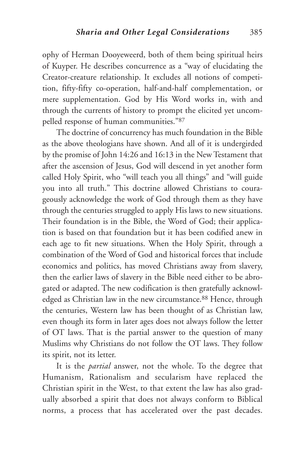ophy of Herman Dooyeweerd, both of them being spiritual heirs of Kuyper. He describes concurrence as a "way of elucidating the Creator-creature relationship. It excludes all notions of competition, fifty-fifty co-operation, half-and-half complementation, or mere supplementation. God by His Word works in, with and through the currents of history to prompt the elicited yet uncompelled response of human communities."87

The doctrine of concurrency has much foundation in the Bible as the above theologians have shown. And all of it is undergirded by the promise of John 14:26 and 16:13 in the New Testament that after the ascension of Jesus, God will descend in yet another form called Holy Spirit, who "will teach you all things" and "will guide you into all truth." This doctrine allowed Christians to courageously acknowledge the work of God through them as they have through the centuries struggled to apply His laws to new situations. Their foundation is in the Bible, the Word of God; their application is based on that foundation but it has been codified anew in each age to fit new situations. When the Holy Spirit, through a combination of the Word of God and historical forces that include economics and politics, has moved Christians away from slavery, then the earlier laws of slavery in the Bible need either to be abrogated or adapted. The new codification is then gratefully acknowledged as Christian law in the new circumstance.<sup>88</sup> Hence, through the centuries, Western law has been thought of as Christian law, even though its form in later ages does not always follow the letter of OT laws. That is the partial answer to the question of many Muslims why Christians do not follow the OT laws. They follow its spirit, not its letter.

It is the *partial* answer, not the whole. To the degree that Humanism, Rationalism and secularism have replaced the Christian spirit in the West, to that extent the law has also gradually absorbed a spirit that does not always conform to Biblical norms, a process that has accelerated over the past decades.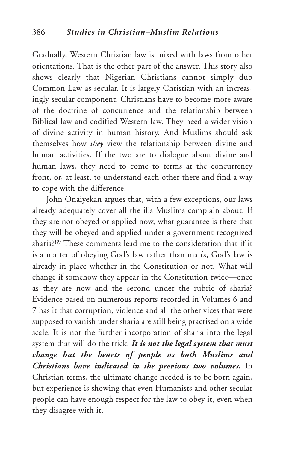Gradually, Western Christian law is mixed with laws from other orientations. That is the other part of the answer. This story also shows clearly that Nigerian Christians cannot simply dub Common Law as secular. It is largely Christian with an increasingly secular component. Christians have to become more aware of the doctrine of concurrence and the relationship between Biblical law and codified Western law. They need a wider vision of divine activity in human history. And Muslims should ask themselves how *they* view the relationship between divine and human activities. If the two are to dialogue about divine and human laws, they need to come to terms at the concurrency front, or, at least, to understand each other there and find a way to cope with the difference.

John Onaiyekan argues that, with a few exceptions, our laws already adequately cover all the ills Muslims complain about. If they are not obeyed or applied now, what guarantee is there that they will be obeyed and applied under a government-recognized sharia?89 These comments lead me to the consideration that if it is a matter of obeying God's law rather than man's, God's law is already in place whether in the Constitution or not. What will change if somehow they appear in the Constitution twice—once as they are now and the second under the rubric of sharia? Evidence based on numerous reports recorded in Volumes 6 and 7 has it that corruption, violence and all the other vices that were supposed to vanish under sharia are still being practised on a wide scale. It is not the further incorporation of sharia into the legal system that will do the trick. *It is not the legal system that must change but the hearts of people as both Muslims and Christians have indicated in the previous two volumes***.** In Christian terms, the ultimate change needed is to be born again, but experience is showing that even Humanists and other secular people can have enough respect for the law to obey it, even when they disagree with it.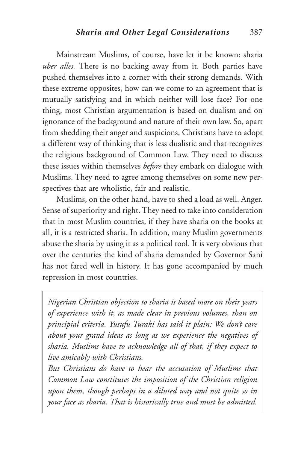Mainstream Muslims, of course, have let it be known: sharia *uber alles.* There is no backing away from it. Both parties have pushed themselves into a corner with their strong demands. With these extreme opposites, how can we come to an agreement that is mutually satisfying and in which neither will lose face? For one thing, most Christian argumentation is based on dualism and on ignorance of the background and nature of their own law. So, apart from shedding their anger and suspicions, Christians have to adopt a different way of thinking that is less dualistic and that recognizes the religious background of Common Law. They need to discuss these issues within themselves *before* they embark on dialogue with Muslims. They need to agree among themselves on some new perspectives that are wholistic, fair and realistic.

Muslims, on the other hand, have to shed a load as well. Anger. Sense of superiority and right. They need to take into consideration that in most Muslim countries, if they have sharia on the books at all, it is a restricted sharia. In addition, many Muslim governments abuse the sharia by using it as a political tool. It is very obvious that over the centuries the kind of sharia demanded by Governor Sani has not fared well in history. It has gone accompanied by much repression in most countries.

*Nigerian Christian objection to sharia is based more on their years of experience with it, as made clear in previous volumes, than on principial criteria. Yusufu Turaki has said it plain: We don't care about your grand ideas as long as we experience the negatives of sharia. Muslims have to acknowledge all of that, if they expect to live amicably with Christians.*

*But Christians do have to hear the accusation of Muslims that Common Law constitutes the imposition of the Christian religion upon them, though perhaps in a diluted way and not quite so in your face as sharia. That is historically true and must be admitted.*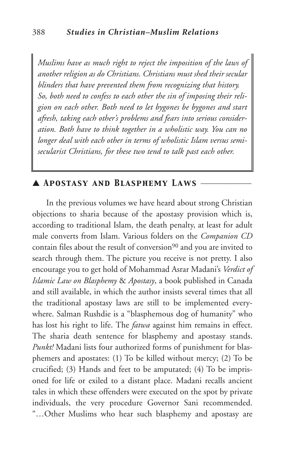*Muslims have as much right to reject the imposition of the laws of another religion as do Christians. Christians must shed their secular blinders that have prevented them from recognizing that history. So, both need to confess to each other the sin of imposing their religion on each other. Both need to let bygones be bygones and start afresh, taking each other's problems and fears into serious consideration. Both have to think together in a wholistic way. You can no longer deal with each other in terms of wholistic Islam versus semisecularist Christians, for these two tend to talk past each other.*

# ▲ *Apostasy and Blasphemy Laws* \_\_\_\_\_\_\_\_\_\_\_\_\_

In the previous volumes we have heard about strong Christian objections to sharia because of the apostasy provision which is, according to traditional Islam, the death penalty, at least for adult male converts from Islam. Various folders on the *Companion CD* contain files about the result of conversion<sup>90</sup> and you are invited to search through them. The picture you receive is not pretty. I also encourage you to get hold of Mohammad Asrar Madani's *Verdict of Islamic Law on Blasphemy* & *Apostasy*, a book published in Canada and still available, in which the author insists several times that all the traditional apostasy laws are still to be implemented everywhere. Salman Rushdie is a "blasphemous dog of humanity" who has lost his right to life. The *fatwa* against him remains in effect. The sharia death sentence for blasphemy and apostasy stands. *Punkt!* Madani lists four authorized forms of punishment for blasphemers and apostates: (1) To be killed without mercy; (2) To be crucified; (3) Hands and feet to be amputated; (4) To be imprisoned for life or exiled to a distant place. Madani recalls ancient tales in which these offenders were executed on the spot by private individuals, the very procedure Governor Sani recommended. "…Other Muslims who hear such blasphemy and apostasy are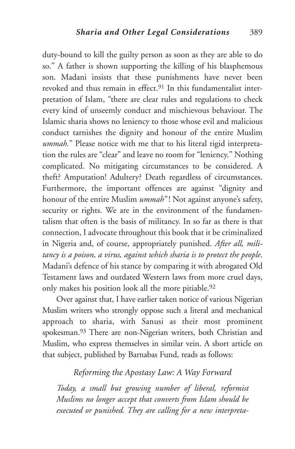duty-bound to kill the guilty person as soon as they are able to do so." A father is shown supporting the killing of his blasphemous son. Madani insists that these punishments have never been revoked and thus remain in effect <sup>91</sup> In this fundamentalist interpretation of Islam, "there are clear rules and regulations to check every kind of unseemly conduct and mischievous behaviour. The Islamic sharia shows no leniency to those whose evil and malicious conduct tarnishes the dignity and honour of the entire Muslim *ummah.*" Please notice with me that to his literal rigid interpretation the rules are "clear" and leave no room for "leniency." Nothing complicated. No mitigating circumstances to be considered. A theft? Amputation! Adultery? Death regardless of circumstances. Furthermore, the important offences are against "dignity and honour of the entire Muslim *ummah*"! Not against anyone's safety, security or rights. We are in the environment of the fundamentalism that often is the basis of militancy. In so far as there is that connection, I advocate throughout this book that it be criminalized in Nigeria and, of course, appropriately punished. *After all, militancy is a poison, a virus, against which sharia is to protect the people*. Madani's defence of his stance by comparing it with abrogated Old Testament laws and outdated Western laws from more cruel days, only makes his position look all the more pitiable.<sup>92</sup>

Over against that, I have earlier taken notice of various Nigerian Muslim writers who strongly oppose such a literal and mechanical approach to sharia, with Sanusi as their most prominent spokesman.93 There are non-Nigerian writers, both Christian and Muslim, who express themselves in similar vein. A short article on that subject, published by Barnabas Fund, reads as follows:

# *Reforming the Apostasy Law: A Way Forward*

*Today, a small but growing number of liberal, reformist Muslims no longer accept that converts from Islam should be executed or punished. They are calling for a new interpreta-*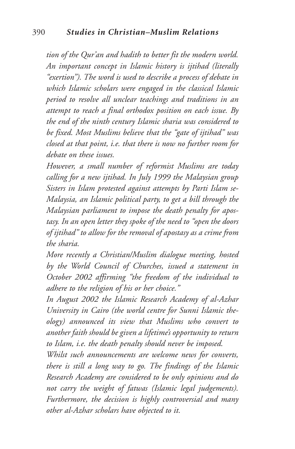#### 390 *Studies in Christian–Muslim Relations*

*tion of the Qur'an and hadith to better fit the modern world. An important concept in Islamic history is ijtihad (literally "exertion"). The word is used to describe a process of debate in which Islamic scholars were engaged in the classical Islamic period to resolve all unclear teachings and traditions in an attempt to reach a final orthodox position on each issue. By the end of the ninth century Islamic sharia was considered to be fixed. Most Muslims believe that the "gate of ijtihad" was closed at that point, i.e. that there is now no further room for debate on these issues.*

*However, a small number of reformist Muslims are today calling for a new ijtihad. In July 1999 the Malaysian group Sisters in Islam protested against attempts by Parti Islam se-Malaysia, an Islamic political party, to get a bill through the Malaysian parliament to impose the death penalty for apostasy. In an open letter they spoke of the need to "open the doors of ijtihad" to allow for the removal of apostasy as a crime from the sharia.*

*More recently a Christian/Muslim dialogue meeting, hosted by the World Council of Churches, issued a statement in October 2002 affirming "the freedom of the individual to adhere to the religion of his or her choice."*

*In August 2002 the Islamic Research Academy of al-Azhar University in Cairo (the world centre for Sunni Islamic theology) announced its view that Muslims who convert to another faith should be given a lifetime's opportunity to return to Islam, i.e. the death penalty should never be imposed.*

*Whilst such announcements are welcome news for converts, there is still a long way to go. The findings of the Islamic Research Academy are considered to be only opinions and do not carry the weight of fatwas (Islamic legal judgements). Furthermore, the decision is highly controversial and many other al-Azhar scholars have objected to it.*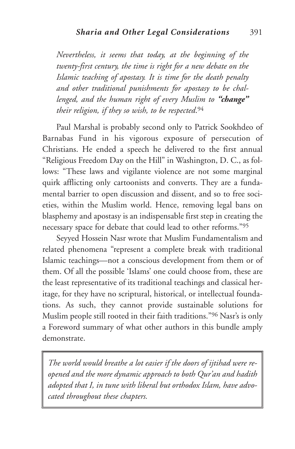*Nevertheless, it seems that today, at the beginning of the twenty-first century, the time is right for a new debate on the Islamic teaching of apostasy. It is time for the death penalty and other traditional punishments for apostasy to be challenged, and the human right of every Muslim to "change" their religion, if they so wish, to be respected*.94

Paul Marshal is probably second only to Patrick Sookhdeo of Barnabas Fund in his vigorous exposure of persecution of Christians. He ended a speech he delivered to the first annual "Religious Freedom Day on the Hill" in Washington, D. C., as follows: "These laws and vigilante violence are not some marginal quirk afflicting only cartoonists and converts. They are a fundamental barrier to open discussion and dissent, and so to free societies, within the Muslim world. Hence, removing legal bans on blasphemy and apostasy is an indispensable first step in creating the necessary space for debate that could lead to other reforms."95

Seyyed Hossein Nasr wrote that Muslim Fundamentalism and related phenomena "represent a complete break with traditional Islamic teachings—not a conscious development from them or of them. Of all the possible 'Islams' one could choose from, these are the least representative of its traditional teachings and classical heritage, for they have no scriptural, historical, or intellectual foundations. As such, they cannot provide sustainable solutions for Muslim people still rooted in their faith traditions."96 Nasr's is only a Foreword summary of what other authors in this bundle amply demonstrate.

*The world would breathe a lot easier if the doors of ijtihad were reopened and the more dynamic approach to both Qur'an and hadith adopted that I, in tune with liberal but orthodox Islam, have advocated throughout these chapters.*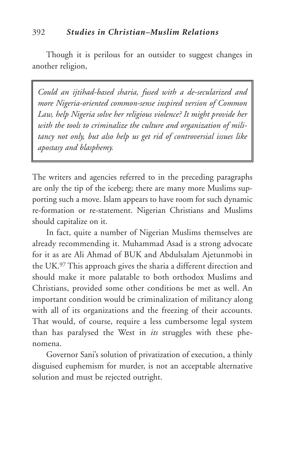Though it is perilous for an outsider to suggest changes in another religion,

*Could an ijtihad-based sharia, fused with a de-secularized and more Nigeria-oriented common-sense inspired version of Common Law, help Nigeria solve her religious violence? It might provide her with the tools to criminalize the culture and organization of militancy not only, but also help us get rid of controversial issues like apostasy and blasphemy.*

The writers and agencies referred to in the preceding paragraphs are only the tip of the iceberg; there are many more Muslims supporting such a move. Islam appears to have room for such dynamic re-formation or re-statement. Nigerian Christians and Muslims should capitalize on it.

In fact, quite a number of Nigerian Muslims themselves are already recommending it. Muhammad Asad is a strong advocate for it as are Ali Ahmad of BUK and Abdulsalam Ajetunmobi in the UK.97 This approach gives the sharia a different direction and should make it more palatable to both orthodox Muslims and Christians, provided some other conditions be met as well. An important condition would be criminalization of militancy along with all of its organizations and the freezing of their accounts. That would, of course, require a less cumbersome legal system than has paralysed the West in *its* struggles with these phenomena.

Governor Sani's solution of privatization of execution, a thinly disguised euphemism for murder, is not an acceptable alternative solution and must be rejected outright.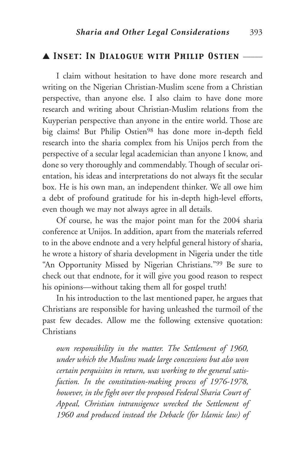#### ▲ *Inset: In Dialogue with Philip Ostien* \_\_\_\_\_

I claim without hesitation to have done more research and writing on the Nigerian Christian-Muslim scene from a Christian perspective, than anyone else. I also claim to have done more research and writing about Christian-Muslim relations from the Kuyperian perspective than anyone in the entire world. Those are big claims! But Philip Ostien98 has done more in-depth field research into the sharia complex from his Unijos perch from the perspective of a secular legal academician than anyone I know, and done so very thoroughly and commendably. Though of secular orientation, his ideas and interpretations do not always fit the secular box. He is his own man, an independent thinker. We all owe him a debt of profound gratitude for his in-depth high-level efforts, even though we may not always agree in all details.

Of course, he was the major point man for the 2004 sharia conference at Unijos. In addition, apart from the materials referred to in the above endnote and a very helpful general history of sharia, he wrote a history of sharia development in Nigeria under the title "An Opportunity Missed by Nigerian Christians."99 Be sure to check out that endnote, for it will give you good reason to respect his opinions—without taking them all for gospel truth!

In his introduction to the last mentioned paper, he argues that Christians are responsible for having unleashed the turmoil of the past few decades. Allow me the following extensive quotation: Christians

*own responsibility in the matter. The Settlement of 1960, under which the Muslims made large concessions but also won certain perquisites in return, was working to the general satisfaction. In the constitution-making process of 1976-1978, however, in the fight over the proposed Federal Sharia Court of Appeal, Christian intransigence wrecked the Settlement of 1960 and produced instead the Debacle (for Islamic law) of*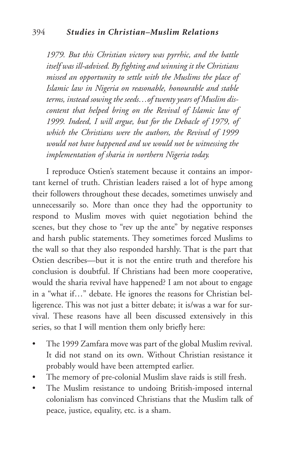*1979. But this Christian victory was pyrrhic, and the battle itself was ill-advised. By fighting and winning it the Christians missed an opportunity to settle with the Muslims the place of Islamic law in Nigeria on reasonable, honourable and stable terms, instead sowing the seeds…of twenty years of Muslim discontent that helped bring on the Revival of Islamic law of 1999. Indeed, I will argue, but for the Debacle of 1979, of which the Christians were the authors, the Revival of 1999 would not have happened and we would not be witnessing the implementation of sharia in northern Nigeria today.*

I reproduce Ostien's statement because it contains an important kernel of truth. Christian leaders raised a lot of hype among their followers throughout these decades, sometimes unwisely and unnecessarily so. More than once they had the opportunity to respond to Muslim moves with quiet negotiation behind the scenes, but they chose to "rev up the ante" by negative responses and harsh public statements. They sometimes forced Muslims to the wall so that they also responded harshly. That is the part that Ostien describes—but it is not the entire truth and therefore his conclusion is doubtful. If Christians had been more cooperative, would the sharia revival have happened? I am not about to engage in a "what if…" debate. He ignores the reasons for Christian belligerence. This was not just a bitter debate; it is/was a war for survival. These reasons have all been discussed extensively in this series, so that I will mention them only briefly here:

- The 1999 Zamfara move was part of the global Muslim revival. It did not stand on its own. Without Christian resistance it probably would have been attempted earlier.
- The memory of pre-colonial Muslim slave raids is still fresh.
- The Muslim resistance to undoing British-imposed internal colonialism has convinced Christians that the Muslim talk of peace, justice, equality, etc. is a sham.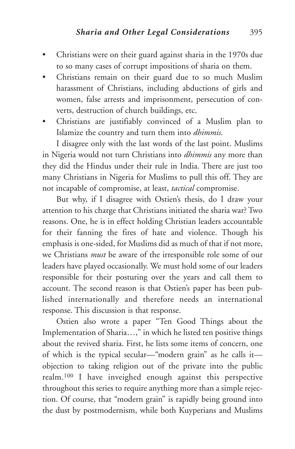- Christians were on their guard against sharia in the 1970s due to so many cases of corrupt impositions of sharia on them.
- Christians remain on their guard due to so much Muslim harassment of Christians, including abductions of girls and women, false arrests and imprisonment, persecution of converts, destruction of church buildings, etc.
- Christians are justifiably convinced of a Muslim plan to Islamize the country and turn them into *dhimmis.*

I disagree only with the last words of the last point. Muslims in Nigeria would not turn Christians into *dhimmis* any more than they did the Hindus under their rule in India. There are just too many Christians in Nigeria for Muslims to pull this off. They are not incapable of compromise, at least, *tactical* compromise.

But why, if I disagree with Ostien's thesis, do I draw your attention to his charge that Christians initiated the sharia war? Two reasons. One, he is in effect holding Christian leaders accountable for their fanning the fires of hate and violence. Though his emphasis is one-sided, for Muslims did as much of that if not more, we Christians *must* be aware of the irresponsible role some of our leaders have played occasionally. We must hold some of our leaders responsible for their posturing over the years and call them to account. The second reason is that Ostien's paper has been published internationally and therefore needs an international response. This discussion is that response.

Ostien also wrote a paper "Ten Good Things about the Implementation of Sharia…," in which he listed ten positive things about the revived sharia. First, he lists some items of concern, one of which is the typical secular—"modern grain" as he calls it objection to taking religion out of the private into the public realm.100 I have inveighed enough against this perspective throughout this series to require anything more than a simple rejection. Of course, that "modern grain" is rapidly being ground into the dust by postmodernism, while both Kuyperians and Muslims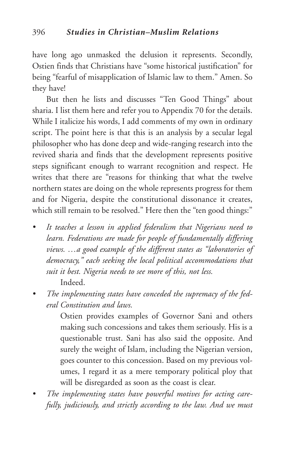have long ago unmasked the delusion it represents. Secondly, Ostien finds that Christians have "some historical justification" for being "fearful of misapplication of Islamic law to them." Amen. So they have!

But then he lists and discusses "Ten Good Things" about sharia. I list them here and refer you to Appendix 70 for the details. While I italicize his words, I add comments of my own in ordinary script. The point here is that this is an analysis by a secular legal philosopher who has done deep and wide-ranging research into the revived sharia and finds that the development represents positive steps significant enough to warrant recognition and respect. He writes that there are "reasons for thinking that what the twelve northern states are doing on the whole represents progress for them and for Nigeria, despite the constitutional dissonance it creates, which still remain to be resolved." Here then the "ten good things:"

- *• It teaches a lesson in applied federalism that Nigerians need to learn. Federations are made for people of fundamentally differing views. …a good example of the different states as "laboratories of democracy," each seeking the local political accommodations that suit it best. Nigeria needs to see more of this, not less.* Indeed.
- *• The implementing states have conceded the supremacy of the federal Constitution and laws.*

Ostien provides examples of Governor Sani and others making such concessions and takes them seriously. His is a questionable trust. Sani has also said the opposite. And surely the weight of Islam, including the Nigerian version, goes counter to this concession. Based on my previous volumes, I regard it as a mere temporary political ploy that will be disregarded as soon as the coast is clear.

*• The implementing states have powerful motives for acting carefully, judiciously, and strictly according to the law. And we must*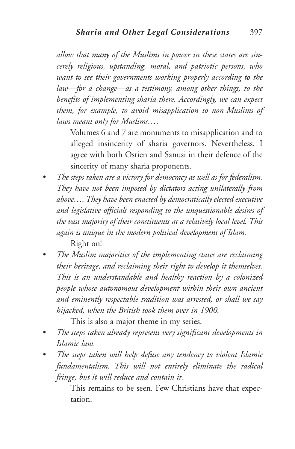*allow that many of the Muslims in power in these states are sincerely religious, upstanding, moral, and patriotic persons, who want to see their governments working properly according to the law—for a change—as a testimony, among other things, to the benefits of implementing sharia there. Accordingly, we can expect them, for example, to avoid misapplication to non-Muslims of laws meant only for Muslims….*

Volumes 6 and 7 are monuments to misapplication and to alleged insincerity of sharia governors. Nevertheless, I agree with both Ostien and Sanusi in their defence of the sincerity of many sharia proponents.

- *• The steps taken are a victory for democracy as well as for federalism. They have not been imposed by dictators acting unilaterally from above….They have been enacted by democratically elected executive and legislative officials responding to the unquestionable desires of the vast majority of their constituents at a relatively local level. This again is unique in the modern political development of Islam.* Right on!
- *• The Muslim majorities of the implementing states are reclaiming their heritage, and reclaiming their right to develop it themselves. This is an understandable and healthy reaction by a colonized people whose autonomous development within their own ancient and eminently respectable tradition was arrested, or shall we say hijacked, when the British took them over in 1900.*

This is also a major theme in my series.

- *• The steps taken already represent very significant developments in Islamic law.*
- *• The steps taken will help defuse any tendency to violent Islamic fundamentalism. This will not entirely eliminate the radical fringe, but it will reduce and contain it.*

This remains to be seen. Few Christians have that expectation.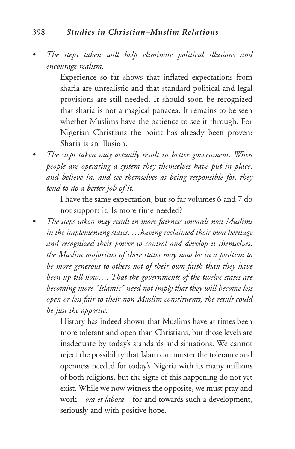#### 398 *Studies in Christian–Muslim Relations*

*• The steps taken will help eliminate political illusions and encourage realism.*

> Experience so far shows that inflated expectations from sharia are unrealistic and that standard political and legal provisions are still needed. It should soon be recognized that sharia is not a magical panacea. It remains to be seen whether Muslims have the patience to see it through. For Nigerian Christians the point has already been proven: Sharia is an illusion.

*• The steps taken may actually result in better government*. *When people are operating a system they themselves have put in place, and believe in, and see themselves as being responsible for, they tend to do a better job of it.*

> I have the same expectation, but so far volumes 6 and 7 do not support it. Is more time needed?

*• The steps taken may result in more fairness towards non-Muslims in the implementing states. …having reclaimed their own heritage and recognized their power to control and develop it themselves, the Muslim majorities of these states may now be in a position to be more generous to others not of their own faith than they have been up till now…. That the governments of the twelve states are becoming more "Islamic" need not imply that they will become less open or less fair to their non-Muslim constituents; the result could be just the opposite*.

> History has indeed shown that Muslims have at times been more tolerant and open than Christians, but those levels are inadequate by today's standards and situations. We cannot reject the possibility that Islam can muster the tolerance and openness needed for today's Nigeria with its many millions of both religions, but the signs of this happening do not yet exist. While we now witness the opposite, we must pray and work—*ora et labora—*for and towards such a development, seriously and with positive hope.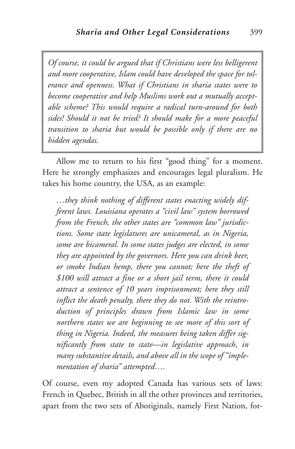*Of course, it could be argued that if Christians were less belligerent and more cooperative, Islam could have developed the space for tolerance and openness. What if Christians in sharia states were to become cooperative and help Muslims work out a mutually acceptable scheme? This would require a radical turn-around for both sides! Should it not be tried? It should make for a more peaceful transition to sharia but would be possible only if there are no hidden agendas.*

Allow me to return to his first "good thing" for a moment. Here he strongly emphasizes and encourages legal pluralism. He takes his home country, the USA, as an example:

*…they think nothing of different states enacting widely different laws. Louisiana operates a "civil law" system borrowed from the French, the other states are "common law" jurisdictions. Some state legislatures are unicameral, as in Nigeria, some are bicameral. In some states judges are elected, in some they are appointed by the governors. Here you can drink beer, or smoke Indian hemp, there you cannot; here the theft of \$100 will attract a fine or a short jail term, there it could attract a sentence of 10 years imprisonment; here they still inflict the death penalty, there they do not. With the reintroduction of principles drawn from Islamic law in some northern states we are beginning to see more of this sort of thing in Nigeria. Indeed, the measures being taken differ significantly from state to state—in legislative approach, in many substantive details, and above all in the scope of "implementation of sharia" attempted….*

Of course, even my adopted Canada has various sets of laws: French in Quebec, British in all the other provinces and territories, apart from the two sets of Aboriginals, namely First Nation, for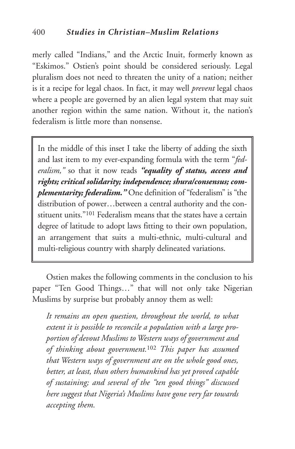merly called "Indians," and the Arctic Inuit, formerly known as "Eskimos." Ostien's point should be considered seriously. Legal pluralism does not need to threaten the unity of a nation; neither is it a recipe for legal chaos. In fact, it may well *prevent* legal chaos where a people are governed by an alien legal system that may suit another region within the same nation. Without it, the nation's federalism is little more than nonsense.

In the middle of this inset I take the liberty of adding the sixth and last item to my ever-expanding formula with the term "*federalism,"* so that it now reads *"equality of status, access and rights; critical solidarity; independence; shura/consensus; complementarity; federalism."* One definition of "federalism" is "the distribution of power…between a central authority and the constituent units."101 Federalism means that the states have a certain degree of latitude to adopt laws fitting to their own population, an arrangement that suits a multi-ethnic, multi-cultural and multi-religious country with sharply delineated variations.

Ostien makes the following comments in the conclusion to his paper "Ten Good Things…" that will not only take Nigerian Muslims by surprise but probably annoy them as well:

*It remains an open question, throughout the world, to what extent it is possible to reconcile a population with a large proportion of devout Muslims to Western ways of government and of thinking about government.*<sup>102</sup> *This paper has assumed that Western ways of government are on the whole good ones, better, at least, than others humankind has yet proved capable of sustaining; and several of the "ten good things" discussed here suggest that Nigeria's Muslims have gone very far towards accepting them.*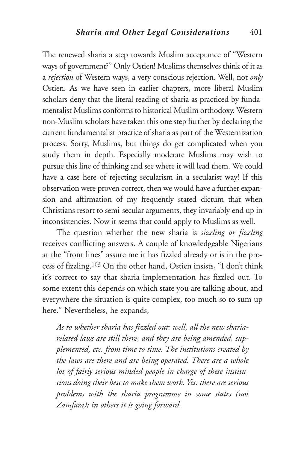The renewed sharia a step towards Muslim acceptance of "Western ways of government?" Only Ostien! Muslims themselves think of it as a *rejection* of Western ways, a very conscious rejection. Well, not *only* Ostien. As we have seen in earlier chapters, more liberal Muslim scholars deny that the literal reading of sharia as practiced by fundamentalist Muslims conforms to historical Muslim orthodoxy. Western non-Muslim scholars have taken this one step further by declaring the current fundamentalist practice of sharia as part of the Westernization process. Sorry, Muslims, but things do get complicated when you study them in depth. Especially moderate Muslims may wish to pursue this line of thinking and see where it will lead them. We could have a case here of rejecting secularism in a secularist way! If this observation were proven correct, then we would have a further expansion and affirmation of my frequently stated dictum that when Christians resort to semi-secular arguments, they invariably end up in inconsistencies. Now it seems that could apply to Muslims as well.

The question whether the new sharia is *sizzling or fizzling* receives conflicting answers. A couple of knowledgeable Nigerians at the "front lines" assure me it has fizzled already or is in the process of fizzling.103 On the other hand, Ostien insists, "I don't think it's correct to say that sharia implementation has fizzled out. To some extent this depends on which state you are talking about, and everywhere the situation is quite complex, too much so to sum up here." Nevertheless, he expands,

*As to whether sharia has fizzled out: well, all the new shariarelated laws are still there, and they are being amended, supplemented, etc. from time to time. The institutions created by the laws are there and are being operated. There are a whole lot of fairly serious-minded people in charge of these institutions doing their best to make them work. Yes: there are serious problems with the sharia programme in some states (not Zamfara); in others it is going forward.*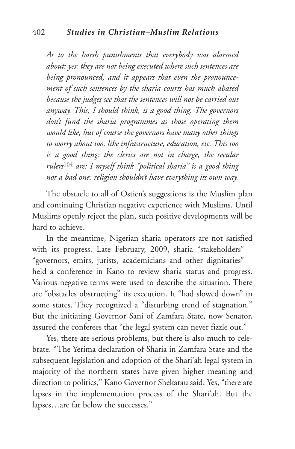#### 402 *Studies in Christian–Muslim Relations*

*As to the harsh punishments that everybody was alarmed about: yes: they are not being executed where such sentences are being pronounced, and it appears that even the pronouncement of such sentences by the sharia courts has much abated because the judges see that the sentences will not be carried out anyway. This, I should think, is a good thing. The governors don't fund the sharia programmes as those operating them would like, but of course the governors have many other things to worry about too, like infrastructure, education, etc. This too is a good thing: the clerics are not in charge, the secular rulers*<sup>104</sup> *are: I myself think "political sharia" is a good thing not a bad one: religion shouldn't have everything its own way.*

The obstacle to all of Ostien's suggestions is the Muslim plan and continuing Christian negative experience with Muslims. Until Muslims openly reject the plan, such positive developments will be hard to achieve.

In the meantime, Nigerian sharia operators are not satisfied with its progress. Late February, 2009, sharia "stakeholders"— "governors, emirs, jurists, academicians and other dignitaries" held a conference in Kano to review sharia status and progress. Various negative terms were used to describe the situation. There are "obstacles obstructing" its execution. It "had slowed down" in some states. They recognized a "disturbing trend of stagnation." But the initiating Governor Sani of Zamfara State, now Senator, assured the conferees that "the legal system can never fizzle out."

Yes, there are serious problems, but there is also much to celebrate. "The Yerima declaration of Sharia in Zamfara State and the subsequent legislation and adoption of the Shari'ah legal system in majority of the northern states have given higher meaning and direction to politics," Kano Governor Shekarau said. Yes, "there are lapses in the implementation process of the Shari'ah. But the lapses…are far below the successes."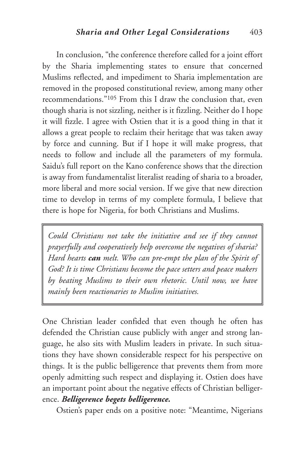In conclusion, "the conference therefore called for a joint effort by the Sharia implementing states to ensure that concerned Muslims reflected, and impediment to Sharia implementation are removed in the proposed constitutional review, among many other recommendations."105 From this I draw the conclusion that, even though sharia is not sizzling, neither is it fizzling. Neither do I hope it will fizzle. I agree with Ostien that it is a good thing in that it allows a great people to reclaim their heritage that was taken away by force and cunning. But if I hope it will make progress, that needs to follow and include all the parameters of my formula. Saidu's full report on the Kano conference shows that the direction is away from fundamentalist literalist reading of sharia to a broader, more liberal and more social version. If we give that new direction time to develop in terms of my complete formula, I believe that there is hope for Nigeria, for both Christians and Muslims.

*Could Christians not take the initiative and see if they cannot prayerfully and cooperatively help overcome the negatives of sharia? Hard hearts can melt. Who can pre-empt the plan of the Spirit of God? It is time Christians become the pace setters and peace makers by beating Muslims to their own rhetoric. Until now, we have mainly been reactionaries to Muslim initiatives.*

One Christian leader confided that even though he often has defended the Christian cause publicly with anger and strong language, he also sits with Muslim leaders in private. In such situations they have shown considerable respect for his perspective on things. It is the public belligerence that prevents them from more openly admitting such respect and displaying it. Ostien does have an important point about the negative effects of Christian belligerence. *Belligerence begets belligerence.*

Ostien's paper ends on a positive note: "Meantime, Nigerians